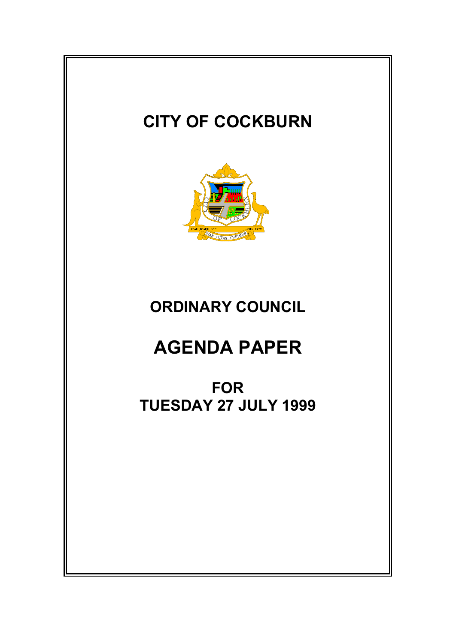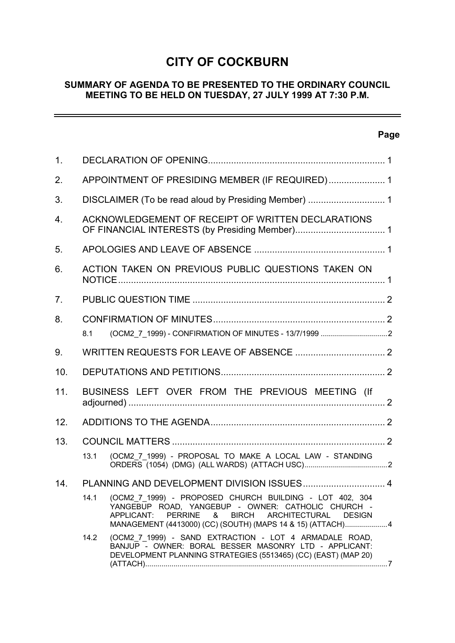# **CITY OF COCKBURN**

## **SUMMARY OF AGENDA TO BE PRESENTED TO THE ORDINARY COUNCIL MEETING TO BE HELD ON TUESDAY, 27 JULY 1999 AT 7:30 P.M.**

# **Page**

| 1 <sub>1</sub> |                                                 |                                                                                                                                                                                                                                                          |  |  |  |  |
|----------------|-------------------------------------------------|----------------------------------------------------------------------------------------------------------------------------------------------------------------------------------------------------------------------------------------------------------|--|--|--|--|
| 2.             | APPOINTMENT OF PRESIDING MEMBER (IF REQUIRED) 1 |                                                                                                                                                                                                                                                          |  |  |  |  |
| 3.             |                                                 |                                                                                                                                                                                                                                                          |  |  |  |  |
| 4.             |                                                 | ACKNOWLEDGEMENT OF RECEIPT OF WRITTEN DECLARATIONS                                                                                                                                                                                                       |  |  |  |  |
| 5.             |                                                 |                                                                                                                                                                                                                                                          |  |  |  |  |
| 6.             |                                                 | ACTION TAKEN ON PREVIOUS PUBLIC QUESTIONS TAKEN ON                                                                                                                                                                                                       |  |  |  |  |
| 7.             |                                                 |                                                                                                                                                                                                                                                          |  |  |  |  |
| 8.             |                                                 |                                                                                                                                                                                                                                                          |  |  |  |  |
|                | 8.1                                             |                                                                                                                                                                                                                                                          |  |  |  |  |
| 9.             |                                                 |                                                                                                                                                                                                                                                          |  |  |  |  |
| 10.            |                                                 |                                                                                                                                                                                                                                                          |  |  |  |  |
| 11.            |                                                 | BUSINESS LEFT OVER FROM THE PREVIOUS MEETING (If                                                                                                                                                                                                         |  |  |  |  |
| 12.            |                                                 |                                                                                                                                                                                                                                                          |  |  |  |  |
| 13.            |                                                 |                                                                                                                                                                                                                                                          |  |  |  |  |
|                | 13.1                                            | (OCM2 7 1999) - PROPOSAL TO MAKE A LOCAL LAW - STANDING                                                                                                                                                                                                  |  |  |  |  |
| 14.            |                                                 |                                                                                                                                                                                                                                                          |  |  |  |  |
|                | 14.1                                            | (OCM2 7 1999) - PROPOSED CHURCH BUILDING - LOT 402, 304<br>YANGEBUP ROAD, YANGEBUP - OWNER: CATHOLIC CHURCH -<br>APPLICANT:<br>PERRINE<br><b>ARCHITECTURAL</b><br><b>DESIGN</b><br>& BIRCH<br>MANAGEMENT (4413000) (CC) (SOUTH) (MAPS 14 & 15) (ATTACH)4 |  |  |  |  |
|                | 14.2                                            | (OCM2 7 1999) - SAND EXTRACTION - LOT 4 ARMADALE ROAD,<br>BANJUP - OWNER: BORAL BESSER MASONRY LTD - APPLICANT:<br>DEVELOPMENT PLANNING STRATEGIES (5513465) (CC) (EAST) (MAP 20)                                                                        |  |  |  |  |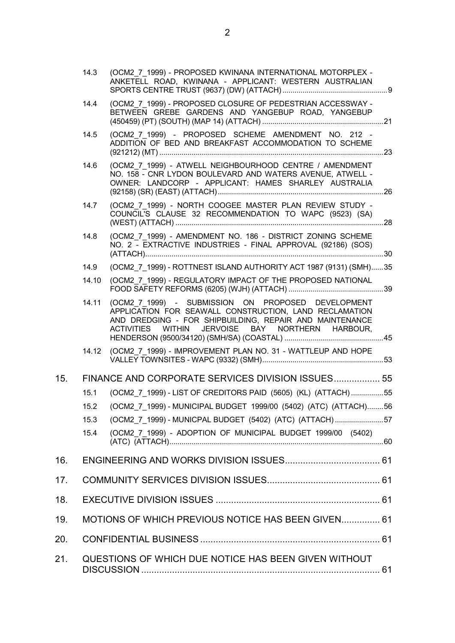|     | 14.3  | (OCM2 7 1999) - PROPOSED KWINANA INTERNATIONAL MOTORPLEX -<br>ANKETELL ROAD, KWINANA - APPLICANT: WESTERN AUSTRALIAN                                                                                                        |  |
|-----|-------|-----------------------------------------------------------------------------------------------------------------------------------------------------------------------------------------------------------------------------|--|
|     | 14.4  | (OCM2_7_1999) - PROPOSED CLOSURE OF PEDESTRIAN ACCESSWAY -<br>BETWEEN GREBE GARDENS AND YANGEBUP ROAD, YANGEBUP                                                                                                             |  |
|     | 14.5  | (OCM2 7 1999) - PROPOSED SCHEME AMENDMENT NO. 212 -<br>ADDITION OF BED AND BREAKFAST ACCOMMODATION TO SCHEME                                                                                                                |  |
|     | 14.6  | (OCM2 7 1999) - ATWELL NEIGHBOURHOOD CENTRE / AMENDMENT<br>NO. 158 - CNR LYDON BOULEVARD AND WATERS AVENUE, ATWELL -<br>OWNER: LANDCORP - APPLICANT: HAMES SHARLEY AUSTRALIA                                                |  |
|     | 14.7  | (OCM2 7 1999) - NORTH COOGEE MASTER PLAN REVIEW STUDY -<br>COUNCIL'S CLAUSE 32 RECOMMENDATION TO WAPC (9523) (SA)                                                                                                           |  |
|     | 14.8  | (OCM2_7_1999) - AMENDMENT NO. 186 - DISTRICT ZONING SCHEME<br>NO. 2 - EXTRACTIVE INDUSTRIES - FINAL APPROVAL (92186) (SOS)                                                                                                  |  |
|     | 14.9  | (OCM2 7 1999) - ROTTNEST ISLAND AUTHORITY ACT 1987 (9131) (SMH)35                                                                                                                                                           |  |
|     | 14.10 | (OCM2_7_1999) - REGULATORY IMPACT OF THE PROPOSED NATIONAL                                                                                                                                                                  |  |
|     | 14.11 | (OCM2_7_1999) - SUBMISSION ON PROPOSED DEVELOPMENT<br>APPLICATION FOR SEAWALL CONSTRUCTION, LAND RECLAMATION<br>AND DREDGING - FOR SHIPBUILDING, REPAIR AND MAINTENANCE<br>ACTIVITIES WITHIN JERVOISE BAY NORTHERN HARBOUR, |  |
|     |       | 14.12 (OCM2 7 1999) - IMPROVEMENT PLAN NO. 31 - WATTLEUP AND HOPE                                                                                                                                                           |  |
| 15. |       | FINANCE AND CORPORATE SERVICES DIVISION ISSUES 55                                                                                                                                                                           |  |
|     | 15.1  | (OCM2_7_1999) - LIST OF CREDITORS PAID (5605) (KL) (ATTACH)55                                                                                                                                                               |  |
|     |       | 15.2 (OCM2_7_1999) - MUNICIPAL BUDGET 1999/00 (5402) (ATC) (ATTACH)56                                                                                                                                                       |  |
|     | 15.3  | (OCM2 7 1999) - MUNICPAL BUDGET (5402) (ATC) (ATTACH)57                                                                                                                                                                     |  |
|     | 15.4  | (OCM2_7_1999) - ADOPTION OF MUNICIPAL BUDGET 1999/00 (5402)                                                                                                                                                                 |  |
| 16. |       |                                                                                                                                                                                                                             |  |
| 17. |       |                                                                                                                                                                                                                             |  |
| 18. |       |                                                                                                                                                                                                                             |  |
| 19. |       | MOTIONS OF WHICH PREVIOUS NOTICE HAS BEEN GIVEN 61                                                                                                                                                                          |  |
| 20. |       |                                                                                                                                                                                                                             |  |
| 21. |       | QUESTIONS OF WHICH DUE NOTICE HAS BEEN GIVEN WITHOUT                                                                                                                                                                        |  |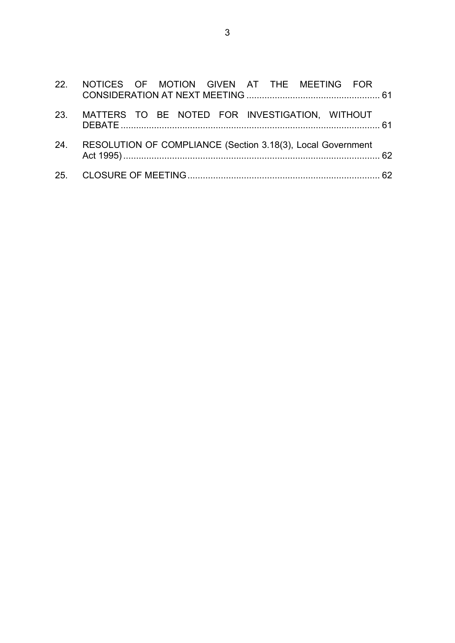| 22. NOTICES OF MOTION GIVEN AT THE MEETING FOR                  |  |
|-----------------------------------------------------------------|--|
| 23. MATTERS TO BE NOTED FOR INVESTIGATION, WITHOUT              |  |
| 24. RESOLUTION OF COMPLIANCE (Section 3.18(3), Local Government |  |
|                                                                 |  |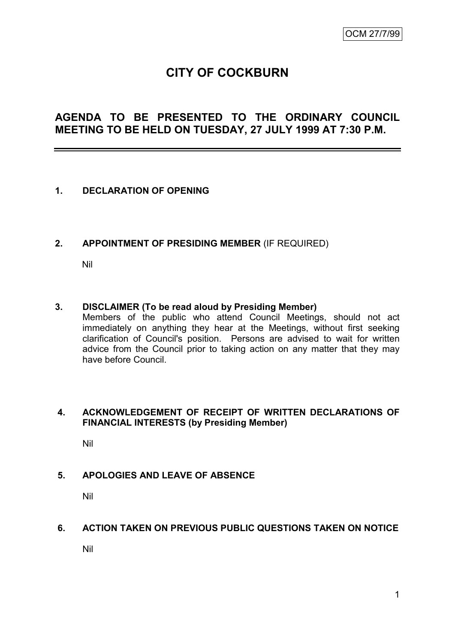# **CITY OF COCKBURN**

# **AGENDA TO BE PRESENTED TO THE ORDINARY COUNCIL MEETING TO BE HELD ON TUESDAY, 27 JULY 1999 AT 7:30 P.M.**

### **1. DECLARATION OF OPENING**

### **2. APPOINTMENT OF PRESIDING MEMBER** (IF REQUIRED)

Nil

#### **3. DISCLAIMER (To be read aloud by Presiding Member)**

Members of the public who attend Council Meetings, should not act immediately on anything they hear at the Meetings, without first seeking clarification of Council's position. Persons are advised to wait for written advice from the Council prior to taking action on any matter that they may have before Council.

#### **4. ACKNOWLEDGEMENT OF RECEIPT OF WRITTEN DECLARATIONS OF FINANCIAL INTERESTS (by Presiding Member)**

Nil

### **5. APOLOGIES AND LEAVE OF ABSENCE**

Nil

### **6. ACTION TAKEN ON PREVIOUS PUBLIC QUESTIONS TAKEN ON NOTICE**

Nil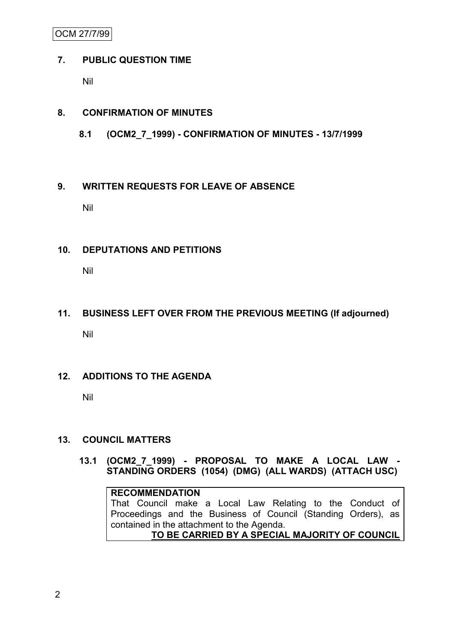OCM 27/7/99

## **7. PUBLIC QUESTION TIME**

Nil

## **8. CONFIRMATION OF MINUTES**

**8.1 (OCM2\_7\_1999) - CONFIRMATION OF MINUTES - 13/7/1999**

### **9. WRITTEN REQUESTS FOR LEAVE OF ABSENCE**

Nil

### **10. DEPUTATIONS AND PETITIONS**

Nil

# **11. BUSINESS LEFT OVER FROM THE PREVIOUS MEETING (If adjourned)**

Nil

# **12. ADDITIONS TO THE AGENDA**

Nil

# **13. COUNCIL MATTERS**

**13.1 (OCM2\_7\_1999) - PROPOSAL TO MAKE A LOCAL LAW - STANDING ORDERS (1054) (DMG) (ALL WARDS) (ATTACH USC)**

### **RECOMMENDATION**

That Council make a Local Law Relating to the Conduct of Proceedings and the Business of Council (Standing Orders), as contained in the attachment to the Agenda.

**TO BE CARRIED BY A SPECIAL MAJORITY OF COUNCIL**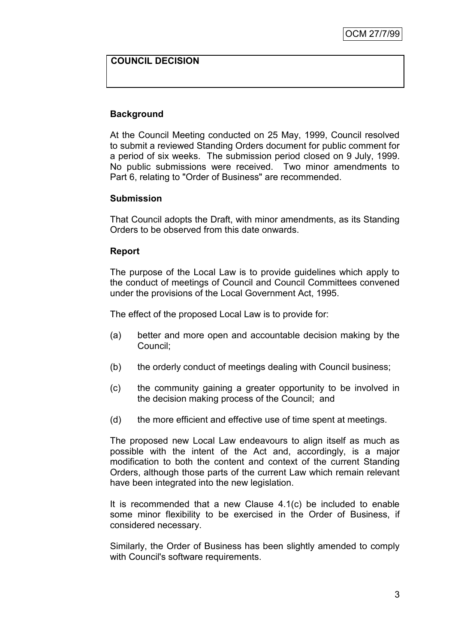### **COUNCIL DECISION**

### **Background**

At the Council Meeting conducted on 25 May, 1999, Council resolved to submit a reviewed Standing Orders document for public comment for a period of six weeks. The submission period closed on 9 July, 1999. No public submissions were received. Two minor amendments to Part 6, relating to "Order of Business" are recommended.

### **Submission**

That Council adopts the Draft, with minor amendments, as its Standing Orders to be observed from this date onwards.

#### **Report**

The purpose of the Local Law is to provide guidelines which apply to the conduct of meetings of Council and Council Committees convened under the provisions of the Local Government Act, 1995.

The effect of the proposed Local Law is to provide for:

- (a) better and more open and accountable decision making by the Council;
- (b) the orderly conduct of meetings dealing with Council business;
- (c) the community gaining a greater opportunity to be involved in the decision making process of the Council; and
- (d) the more efficient and effective use of time spent at meetings.

The proposed new Local Law endeavours to align itself as much as possible with the intent of the Act and, accordingly, is a major modification to both the content and context of the current Standing Orders, although those parts of the current Law which remain relevant have been integrated into the new legislation.

It is recommended that a new Clause 4.1(c) be included to enable some minor flexibility to be exercised in the Order of Business, if considered necessary.

Similarly, the Order of Business has been slightly amended to comply with Council's software requirements.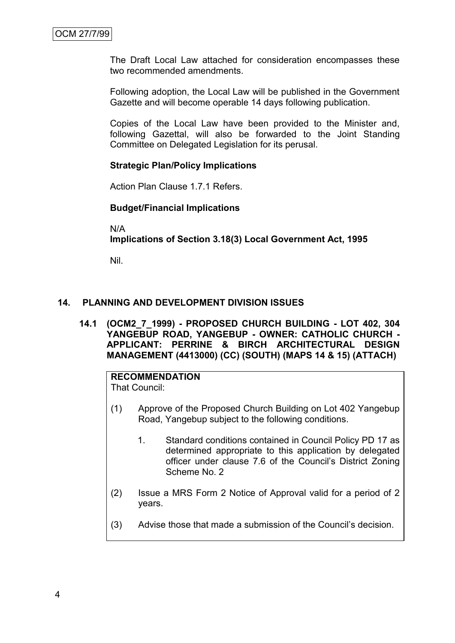The Draft Local Law attached for consideration encompasses these two recommended amendments.

Following adoption, the Local Law will be published in the Government Gazette and will become operable 14 days following publication.

Copies of the Local Law have been provided to the Minister and, following Gazettal, will also be forwarded to the Joint Standing Committee on Delegated Legislation for its perusal.

### **Strategic Plan/Policy Implications**

Action Plan Clause 1.7.1 Refers.

#### **Budget/Financial Implications**

N/A

**Implications of Section 3.18(3) Local Government Act, 1995**

Nil.

#### **14. PLANNING AND DEVELOPMENT DIVISION ISSUES**

**14.1 (OCM2\_7\_1999) - PROPOSED CHURCH BUILDING - LOT 402, 304 YANGEBUP ROAD, YANGEBUP - OWNER: CATHOLIC CHURCH - APPLICANT: PERRINE & BIRCH ARCHITECTURAL DESIGN MANAGEMENT (4413000) (CC) (SOUTH) (MAPS 14 & 15) (ATTACH)**

# **RECOMMENDATION**

That Council:

- (1) Approve of the Proposed Church Building on Lot 402 Yangebup Road, Yangebup subject to the following conditions.
	- 1. Standard conditions contained in Council Policy PD 17 as determined appropriate to this application by delegated officer under clause 7.6 of the Council's District Zoning Scheme No. 2
- (2) Issue a MRS Form 2 Notice of Approval valid for a period of 2 years.
- (3) Advise those that made a submission of the Council's decision.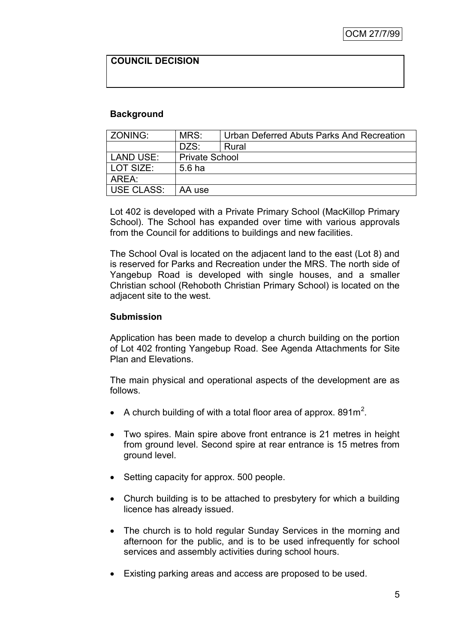### **COUNCIL DECISION**

### **Background**

| l ZONING:  | MRS:                  | Urban Deferred Abuts Parks And Recreation |
|------------|-----------------------|-------------------------------------------|
|            | DZS:                  | Rural                                     |
| LAND USE:  | <b>Private School</b> |                                           |
| LOT SIZE:  | 5.6 ha                |                                           |
| AREA:      |                       |                                           |
| USE CLASS: | AA use                |                                           |

Lot 402 is developed with a Private Primary School (MacKillop Primary School). The School has expanded over time with various approvals from the Council for additions to buildings and new facilities.

The School Oval is located on the adjacent land to the east (Lot 8) and is reserved for Parks and Recreation under the MRS. The north side of Yangebup Road is developed with single houses, and a smaller Christian school (Rehoboth Christian Primary School) is located on the adjacent site to the west.

#### **Submission**

Application has been made to develop a church building on the portion of Lot 402 fronting Yangebup Road. See Agenda Attachments for Site Plan and Elevations.

The main physical and operational aspects of the development are as follows.

- A church building of with a total floor area of approx. 891m<sup>2</sup>.
- Two spires. Main spire above front entrance is 21 metres in height from ground level. Second spire at rear entrance is 15 metres from ground level.
- Setting capacity for approx. 500 people.
- Church building is to be attached to presbytery for which a building licence has already issued.
- The church is to hold regular Sunday Services in the morning and afternoon for the public, and is to be used infrequently for school services and assembly activities during school hours.
- Existing parking areas and access are proposed to be used.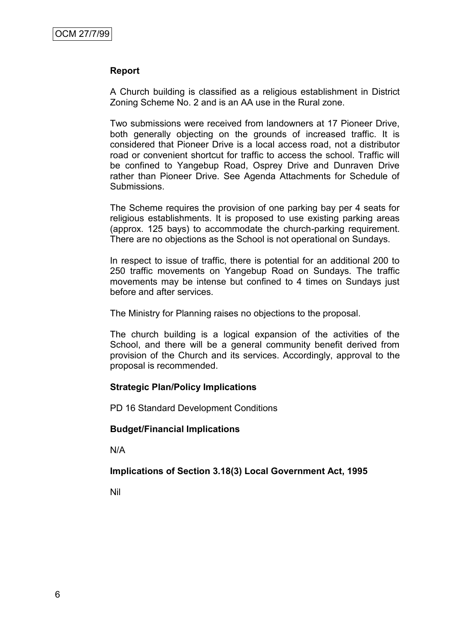### **Report**

A Church building is classified as a religious establishment in District Zoning Scheme No. 2 and is an AA use in the Rural zone.

Two submissions were received from landowners at 17 Pioneer Drive, both generally objecting on the grounds of increased traffic. It is considered that Pioneer Drive is a local access road, not a distributor road or convenient shortcut for traffic to access the school. Traffic will be confined to Yangebup Road, Osprey Drive and Dunraven Drive rather than Pioneer Drive. See Agenda Attachments for Schedule of Submissions.

The Scheme requires the provision of one parking bay per 4 seats for religious establishments. It is proposed to use existing parking areas (approx. 125 bays) to accommodate the church-parking requirement. There are no objections as the School is not operational on Sundays.

In respect to issue of traffic, there is potential for an additional 200 to 250 traffic movements on Yangebup Road on Sundays. The traffic movements may be intense but confined to 4 times on Sundays just before and after services.

The Ministry for Planning raises no objections to the proposal.

The church building is a logical expansion of the activities of the School, and there will be a general community benefit derived from provision of the Church and its services. Accordingly, approval to the proposal is recommended.

### **Strategic Plan/Policy Implications**

PD 16 Standard Development Conditions

#### **Budget/Financial Implications**

N/A

### **Implications of Section 3.18(3) Local Government Act, 1995**

Nil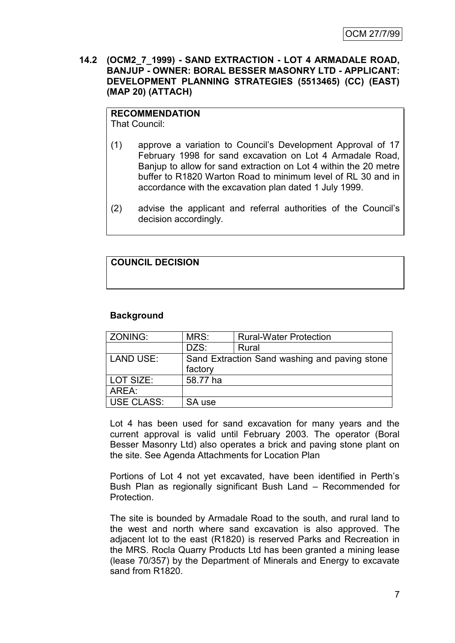### **14.2 (OCM2\_7\_1999) - SAND EXTRACTION - LOT 4 ARMADALE ROAD, BANJUP - OWNER: BORAL BESSER MASONRY LTD - APPLICANT: DEVELOPMENT PLANNING STRATEGIES (5513465) (CC) (EAST) (MAP 20) (ATTACH)**

# **RECOMMENDATION**

That Council:

- (1) approve a variation to Council's Development Approval of 17 February 1998 for sand excavation on Lot 4 Armadale Road, Banjup to allow for sand extraction on Lot 4 within the 20 metre buffer to R1820 Warton Road to minimum level of RL 30 and in accordance with the excavation plan dated 1 July 1999.
- (2) advise the applicant and referral authorities of the Council's decision accordingly.

# **COUNCIL DECISION**

### **Background**

| ZONING:          | MRS:     | <b>Rural-Water Protection</b>                 |
|------------------|----------|-----------------------------------------------|
|                  | DZS:     | Rural                                         |
| <b>LAND USE:</b> |          | Sand Extraction Sand washing and paving stone |
|                  | factory  |                                               |
| LOT SIZE:        | 58.77 ha |                                               |
| AREA:            |          |                                               |
| USE CLASS:       | SA use   |                                               |

Lot 4 has been used for sand excavation for many years and the current approval is valid until February 2003. The operator (Boral Besser Masonry Ltd) also operates a brick and paving stone plant on the site. See Agenda Attachments for Location Plan

Portions of Lot 4 not yet excavated, have been identified in Perth's Bush Plan as regionally significant Bush Land – Recommended for Protection.

The site is bounded by Armadale Road to the south, and rural land to the west and north where sand excavation is also approved. The adjacent lot to the east (R1820) is reserved Parks and Recreation in the MRS. Rocla Quarry Products Ltd has been granted a mining lease (lease 70/357) by the Department of Minerals and Energy to excavate sand from R1820.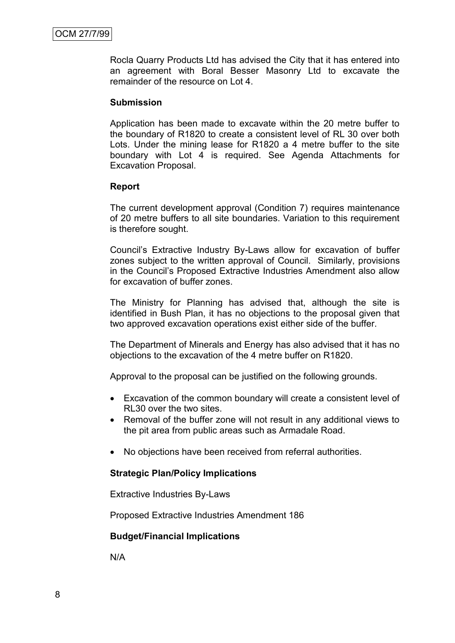Rocla Quarry Products Ltd has advised the City that it has entered into an agreement with Boral Besser Masonry Ltd to excavate the remainder of the resource on Lot 4.

#### **Submission**

Application has been made to excavate within the 20 metre buffer to the boundary of R1820 to create a consistent level of RL 30 over both Lots. Under the mining lease for R1820 a 4 metre buffer to the site boundary with Lot 4 is required. See Agenda Attachments for Excavation Proposal.

#### **Report**

The current development approval (Condition 7) requires maintenance of 20 metre buffers to all site boundaries. Variation to this requirement is therefore sought.

Council's Extractive Industry By-Laws allow for excavation of buffer zones subject to the written approval of Council. Similarly, provisions in the Council's Proposed Extractive Industries Amendment also allow for excavation of buffer zones.

The Ministry for Planning has advised that, although the site is identified in Bush Plan, it has no objections to the proposal given that two approved excavation operations exist either side of the buffer.

The Department of Minerals and Energy has also advised that it has no objections to the excavation of the 4 metre buffer on R1820.

Approval to the proposal can be justified on the following grounds.

- Excavation of the common boundary will create a consistent level of RL30 over the two sites.
- Removal of the buffer zone will not result in any additional views to the pit area from public areas such as Armadale Road.
- No objections have been received from referral authorities.

### **Strategic Plan/Policy Implications**

Extractive Industries By-Laws

Proposed Extractive Industries Amendment 186

#### **Budget/Financial Implications**

N/A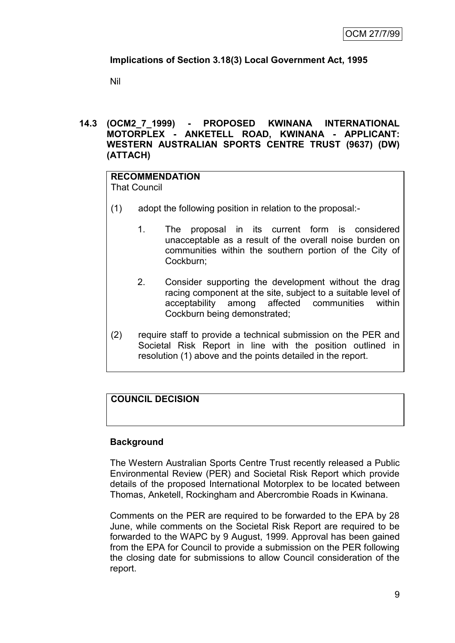# **Implications of Section 3.18(3) Local Government Act, 1995**

Nil

### **14.3 (OCM2\_7\_1999) - PROPOSED KWINANA INTERNATIONAL MOTORPLEX - ANKETELL ROAD, KWINANA - APPLICANT: WESTERN AUSTRALIAN SPORTS CENTRE TRUST (9637) (DW) (ATTACH)**

#### **RECOMMENDATION** That Council

(1) adopt the following position in relation to the proposal:-

- 1. The proposal in its current form is considered unacceptable as a result of the overall noise burden on communities within the southern portion of the City of Cockburn;
- 2. Consider supporting the development without the drag racing component at the site, subject to a suitable level of acceptability among affected communities within Cockburn being demonstrated;
- (2) require staff to provide a technical submission on the PER and Societal Risk Report in line with the position outlined in resolution (1) above and the points detailed in the report.

# **COUNCIL DECISION**

# **Background**

The Western Australian Sports Centre Trust recently released a Public Environmental Review (PER) and Societal Risk Report which provide details of the proposed International Motorplex to be located between Thomas, Anketell, Rockingham and Abercrombie Roads in Kwinana.

Comments on the PER are required to be forwarded to the EPA by 28 June, while comments on the Societal Risk Report are required to be forwarded to the WAPC by 9 August, 1999. Approval has been gained from the EPA for Council to provide a submission on the PER following the closing date for submissions to allow Council consideration of the report.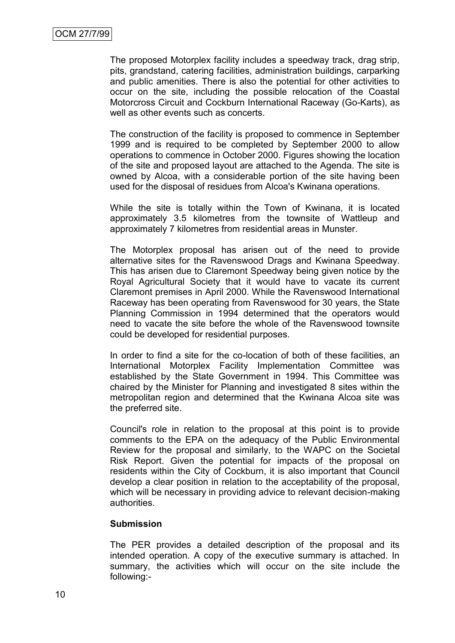The proposed Motorplex facility includes a speedway track, drag strip, pits, grandstand, catering facilities, administration buildings, carparking and public amenities. There is also the potential for other activities to occur on the site, including the possible relocation of the Coastal Motorcross Circuit and Cockburn International Raceway (Go-Karts), as well as other events such as concerts.

The construction of the facility is proposed to commence in September 1999 and is required to be completed by September 2000 to allow operations to commence in October 2000. Figures showing the location of the site and proposed layout are attached to the Agenda. The site is owned by Alcoa, with a considerable portion of the site having been used for the disposal of residues from Alcoa's Kwinana operations.

While the site is totally within the Town of Kwinana, it is located approximately 3.5 kilometres from the townsite of Wattleup and approximately 7 kilometres from residential areas in Munster.

The Motorplex proposal has arisen out of the need to provide alternative sites for the Ravenswood Drags and Kwinana Speedway. This has arisen due to Claremont Speedway being given notice by the Royal Agricultural Society that it would have to vacate its current Claremont premises in April 2000. While the Ravenswood International Raceway has been operating from Ravenswood for 30 years, the State Planning Commission in 1994 determined that the operators would need to vacate the site before the whole of the Ravenswood townsite could be developed for residential purposes.

In order to find a site for the co-location of both of these facilities, an International Motorplex Facility Implementation Committee was established by the State Government in 1994. This Committee was chaired by the Minister for Planning and investigated 8 sites within the metropolitan region and determined that the Kwinana Alcoa site was the preferred site.

Council's role in relation to the proposal at this point is to provide comments to the EPA on the adequacy of the Public Environmental Review for the proposal and similarly, to the WAPC on the Societal Risk Report. Given the potential for impacts of the proposal on residents within the City of Cockburn, it is also important that Council develop a clear position in relation to the acceptability of the proposal, which will be necessary in providing advice to relevant decision-making authorities.

### **Submission**

The PER provides a detailed description of the proposal and its intended operation. A copy of the executive summary is attached. In summary, the activities which will occur on the site include the following:-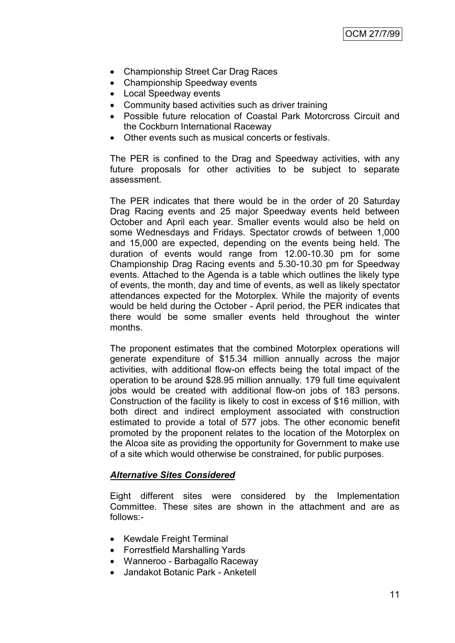- Championship Street Car Drag Races
- Championship Speedway events
- Local Speedway events
- Community based activities such as driver training
- Possible future relocation of Coastal Park Motorcross Circuit and the Cockburn International Raceway
- Other events such as musical concerts or festivals.

The PER is confined to the Drag and Speedway activities, with any future proposals for other activities to be subject to separate assessment.

The PER indicates that there would be in the order of 20 Saturday Drag Racing events and 25 major Speedway events held between October and April each year. Smaller events would also be held on some Wednesdays and Fridays. Spectator crowds of between 1,000 and 15,000 are expected, depending on the events being held. The duration of events would range from 12.00-10.30 pm for some Championship Drag Racing events and 5.30-10.30 pm for Speedway events. Attached to the Agenda is a table which outlines the likely type of events, the month, day and time of events, as well as likely spectator attendances expected for the Motorplex. While the majority of events would be held during the October - April period, the PER indicates that there would be some smaller events held throughout the winter months.

The proponent estimates that the combined Motorplex operations will generate expenditure of \$15.34 million annually across the major activities, with additional flow-on effects being the total impact of the operation to be around \$28.95 million annually. 179 full time equivalent jobs would be created with additional flow-on jobs of 183 persons. Construction of the facility is likely to cost in excess of \$16 million, with both direct and indirect employment associated with construction estimated to provide a total of 577 jobs. The other economic benefit promoted by the proponent relates to the location of the Motorplex on the Alcoa site as providing the opportunity for Government to make use of a site which would otherwise be constrained, for public purposes.

### *Alternative Sites Considered*

Eight different sites were considered by the Implementation Committee. These sites are shown in the attachment and are as follows:-

- Kewdale Freight Terminal
- Forrestfield Marshalling Yards
- Wanneroo Barbagallo Raceway
- Jandakot Botanic Park Anketell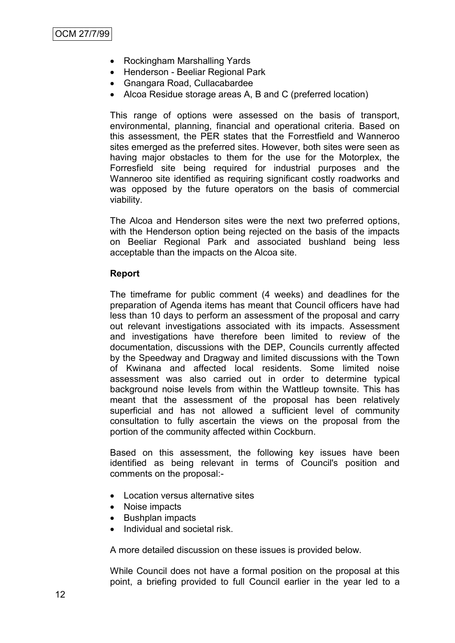- Rockingham Marshalling Yards
- Henderson Beeliar Regional Park
- Gnangara Road, Cullacabardee
- Alcoa Residue storage areas A, B and C (preferred location)

This range of options were assessed on the basis of transport, environmental, planning, financial and operational criteria. Based on this assessment, the PER states that the Forrestfield and Wanneroo sites emerged as the preferred sites. However, both sites were seen as having major obstacles to them for the use for the Motorplex, the Forresfield site being required for industrial purposes and the Wanneroo site identified as requiring significant costly roadworks and was opposed by the future operators on the basis of commercial viability.

The Alcoa and Henderson sites were the next two preferred options, with the Henderson option being rejected on the basis of the impacts on Beeliar Regional Park and associated bushland being less acceptable than the impacts on the Alcoa site.

#### **Report**

The timeframe for public comment (4 weeks) and deadlines for the preparation of Agenda items has meant that Council officers have had less than 10 days to perform an assessment of the proposal and carry out relevant investigations associated with its impacts. Assessment and investigations have therefore been limited to review of the documentation, discussions with the DEP, Councils currently affected by the Speedway and Dragway and limited discussions with the Town of Kwinana and affected local residents. Some limited noise assessment was also carried out in order to determine typical background noise levels from within the Wattleup townsite. This has meant that the assessment of the proposal has been relatively superficial and has not allowed a sufficient level of community consultation to fully ascertain the views on the proposal from the portion of the community affected within Cockburn.

Based on this assessment, the following key issues have been identified as being relevant in terms of Council's position and comments on the proposal:-

- Location versus alternative sites
- Noise impacts
- Bushplan impacts
- Individual and societal risk.

A more detailed discussion on these issues is provided below.

While Council does not have a formal position on the proposal at this point, a briefing provided to full Council earlier in the year led to a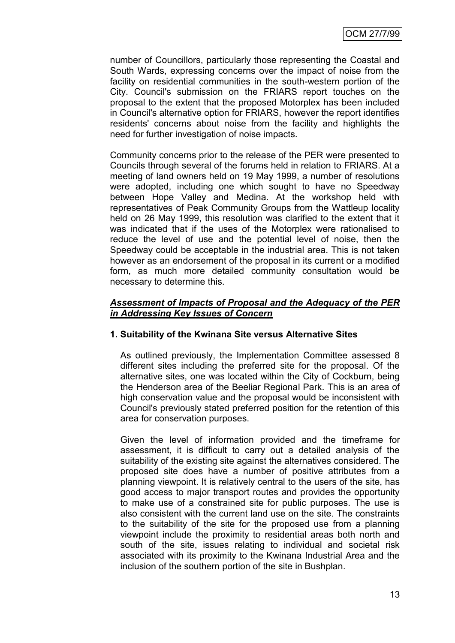number of Councillors, particularly those representing the Coastal and South Wards, expressing concerns over the impact of noise from the facility on residential communities in the south-western portion of the City. Council's submission on the FRIARS report touches on the proposal to the extent that the proposed Motorplex has been included in Council's alternative option for FRIARS, however the report identifies residents' concerns about noise from the facility and highlights the need for further investigation of noise impacts.

Community concerns prior to the release of the PER were presented to Councils through several of the forums held in relation to FRIARS. At a meeting of land owners held on 19 May 1999, a number of resolutions were adopted, including one which sought to have no Speedway between Hope Valley and Medina. At the workshop held with representatives of Peak Community Groups from the Wattleup locality held on 26 May 1999, this resolution was clarified to the extent that it was indicated that if the uses of the Motorplex were rationalised to reduce the level of use and the potential level of noise, then the Speedway could be acceptable in the industrial area. This is not taken however as an endorsement of the proposal in its current or a modified form, as much more detailed community consultation would be necessary to determine this.

### *Assessment of Impacts of Proposal and the Adequacy of the PER in Addressing Key Issues of Concern*

### **1. Suitability of the Kwinana Site versus Alternative Sites**

As outlined previously, the Implementation Committee assessed 8 different sites including the preferred site for the proposal. Of the alternative sites, one was located within the City of Cockburn, being the Henderson area of the Beeliar Regional Park. This is an area of high conservation value and the proposal would be inconsistent with Council's previously stated preferred position for the retention of this area for conservation purposes.

Given the level of information provided and the timeframe for assessment, it is difficult to carry out a detailed analysis of the suitability of the existing site against the alternatives considered. The proposed site does have a number of positive attributes from a planning viewpoint. It is relatively central to the users of the site, has good access to major transport routes and provides the opportunity to make use of a constrained site for public purposes. The use is also consistent with the current land use on the site. The constraints to the suitability of the site for the proposed use from a planning viewpoint include the proximity to residential areas both north and south of the site, issues relating to individual and societal risk associated with its proximity to the Kwinana Industrial Area and the inclusion of the southern portion of the site in Bushplan.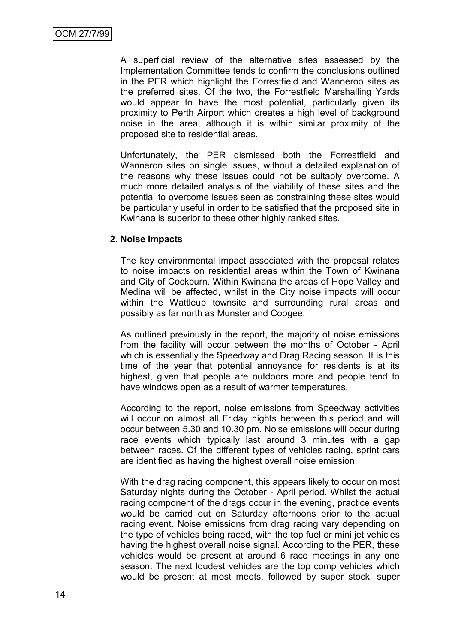A superficial review of the alternative sites assessed by the Implementation Committee tends to confirm the conclusions outlined in the PER which highlight the Forrestfield and Wanneroo sites as the preferred sites. Of the two, the Forrestfield Marshalling Yards would appear to have the most potential, particularly given its proximity to Perth Airport which creates a high level of background noise in the area, although it is within similar proximity of the proposed site to residential areas.

Unfortunately, the PER dismissed both the Forrestfield and Wanneroo sites on single issues, without a detailed explanation of the reasons why these issues could not be suitably overcome. A much more detailed analysis of the viability of these sites and the potential to overcome issues seen as constraining these sites would be particularly useful in order to be satisfied that the proposed site in Kwinana is superior to these other highly ranked sites.

#### **2. Noise Impacts**

The key environmental impact associated with the proposal relates to noise impacts on residential areas within the Town of Kwinana and City of Cockburn. Within Kwinana the areas of Hope Valley and Medina will be affected, whilst in the City noise impacts will occur within the Wattleup townsite and surrounding rural areas and possibly as far north as Munster and Coogee.

As outlined previously in the report, the majority of noise emissions from the facility will occur between the months of October - April which is essentially the Speedway and Drag Racing season. It is this time of the year that potential annoyance for residents is at its highest, given that people are outdoors more and people tend to have windows open as a result of warmer temperatures.

According to the report, noise emissions from Speedway activities will occur on almost all Friday nights between this period and will occur between 5.30 and 10.30 pm. Noise emissions will occur during race events which typically last around 3 minutes with a gap between races. Of the different types of vehicles racing, sprint cars are identified as having the highest overall noise emission.

With the drag racing component, this appears likely to occur on most Saturday nights during the October - April period. Whilst the actual racing component of the drags occur in the evening, practice events would be carried out on Saturday afternoons prior to the actual racing event. Noise emissions from drag racing vary depending on the type of vehicles being raced, with the top fuel or mini jet vehicles having the highest overall noise signal. According to the PER, these vehicles would be present at around 6 race meetings in any one season. The next loudest vehicles are the top comp vehicles which would be present at most meets, followed by super stock, super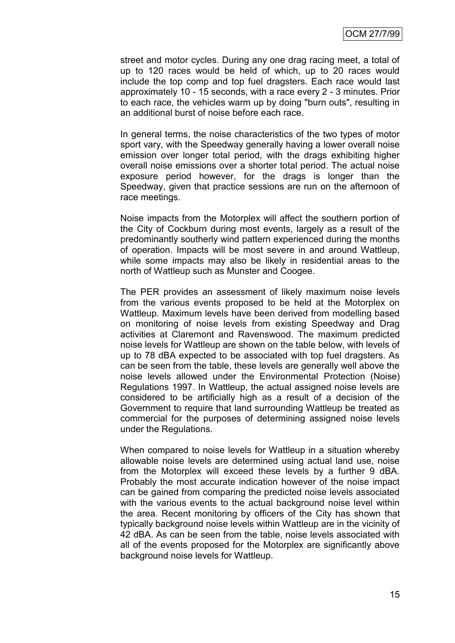street and motor cycles. During any one drag racing meet, a total of up to 120 races would be held of which, up to 20 races would include the top comp and top fuel dragsters. Each race would last approximately 10 - 15 seconds, with a race every 2 - 3 minutes. Prior to each race, the vehicles warm up by doing "burn outs", resulting in an additional burst of noise before each race.

In general terms, the noise characteristics of the two types of motor sport vary, with the Speedway generally having a lower overall noise emission over longer total period, with the drags exhibiting higher overall noise emissions over a shorter total period. The actual noise exposure period however, for the drags is longer than the Speedway, given that practice sessions are run on the afternoon of race meetings.

Noise impacts from the Motorplex will affect the southern portion of the City of Cockburn during most events, largely as a result of the predominantly southerly wind pattern experienced during the months of operation. Impacts will be most severe in and around Wattleup, while some impacts may also be likely in residential areas to the north of Wattleup such as Munster and Coogee.

The PER provides an assessment of likely maximum noise levels from the various events proposed to be held at the Motorplex on Wattleup. Maximum levels have been derived from modelling based on monitoring of noise levels from existing Speedway and Drag activities at Claremont and Ravenswood. The maximum predicted noise levels for Wattleup are shown on the table below, with levels of up to 78 dBA expected to be associated with top fuel dragsters. As can be seen from the table, these levels are generally well above the noise levels allowed under the Environmental Protection (Noise) Regulations 1997. In Wattleup, the actual assigned noise levels are considered to be artificially high as a result of a decision of the Government to require that land surrounding Wattleup be treated as commercial for the purposes of determining assigned noise levels under the Regulations.

When compared to noise levels for Wattleup in a situation whereby allowable noise levels are determined using actual land use, noise from the Motorplex will exceed these levels by a further 9 dBA. Probably the most accurate indication however of the noise impact can be gained from comparing the predicted noise levels associated with the various events to the actual background noise level within the area. Recent monitoring by officers of the City has shown that typically background noise levels within Wattleup are in the vicinity of 42 dBA. As can be seen from the table, noise levels associated with all of the events proposed for the Motorplex are significantly above background noise levels for Wattleup.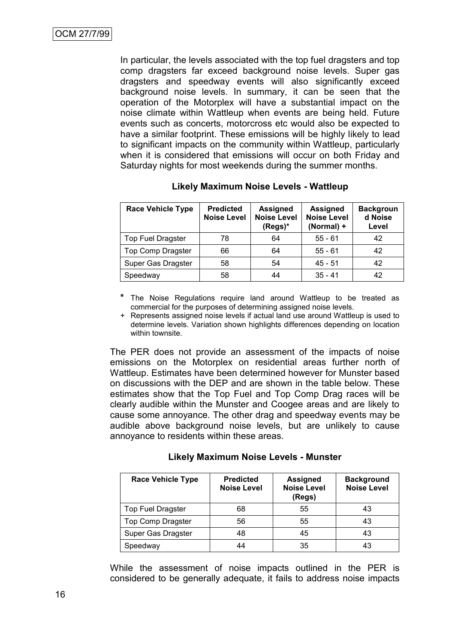In particular, the levels associated with the top fuel dragsters and top comp dragsters far exceed background noise levels. Super gas dragsters and speedway events will also significantly exceed background noise levels. In summary, it can be seen that the operation of the Motorplex will have a substantial impact on the noise climate within Wattleup when events are being held. Future events such as concerts, motorcross etc would also be expected to have a similar footprint. These emissions will be highly likely to lead to significant impacts on the community within Wattleup, particularly when it is considered that emissions will occur on both Friday and Saturday nights for most weekends during the summer months.

| <b>Race Vehicle Type</b> | <b>Predicted</b><br><b>Noise Level</b> | <b>Assigned</b><br><b>Noise Level</b><br>(Regs)* | <b>Assigned</b><br><b>Noise Level</b><br>(Normal) + | <b>Backgroun</b><br>d Noise<br>Level |
|--------------------------|----------------------------------------|--------------------------------------------------|-----------------------------------------------------|--------------------------------------|
| <b>Top Fuel Dragster</b> | 78                                     | 64                                               | $55 - 61$                                           | 42                                   |
| <b>Top Comp Dragster</b> | 66                                     | 64                                               | $55 - 61$                                           | 42                                   |
| Super Gas Dragster       | 58                                     | 54                                               | $45 - 51$                                           | 42                                   |
| Speedway                 | 58                                     | 44                                               | $35 - 41$                                           | 42                                   |

#### **Likely Maximum Noise Levels - Wattleup**

**\*** The Noise Regulations require land around Wattleup to be treated as commercial for the purposes of determining assigned noise levels.

+ Represents assigned noise levels if actual land use around Wattleup is used to determine levels. Variation shown highlights differences depending on location within townsite.

The PER does not provide an assessment of the impacts of noise emissions on the Motorplex on residential areas further north of Wattleup. Estimates have been determined however for Munster based on discussions with the DEP and are shown in the table below. These estimates show that the Top Fuel and Top Comp Drag races will be clearly audible within the Munster and Coogee areas and are likely to cause some annoyance. The other drag and speedway events may be audible above background noise levels, but are unlikely to cause annoyance to residents within these areas.

| <b>Likely Maximum Noise Levels - Munster</b> |  |  |  |
|----------------------------------------------|--|--|--|
|----------------------------------------------|--|--|--|

| <b>Race Vehicle Type</b> | <b>Predicted</b><br><b>Noise Level</b> | <b>Assigned</b><br><b>Noise Level</b><br>(Regs) | <b>Background</b><br><b>Noise Level</b> |
|--------------------------|----------------------------------------|-------------------------------------------------|-----------------------------------------|
| <b>Top Fuel Dragster</b> | 68                                     | 55                                              | 43                                      |
| <b>Top Comp Dragster</b> | 56                                     | 55                                              | 43                                      |
| Super Gas Dragster       | 48                                     | 45                                              | 43                                      |
| Speedway                 | 44                                     | 35                                              | 43                                      |

While the assessment of noise impacts outlined in the PER is considered to be generally adequate, it fails to address noise impacts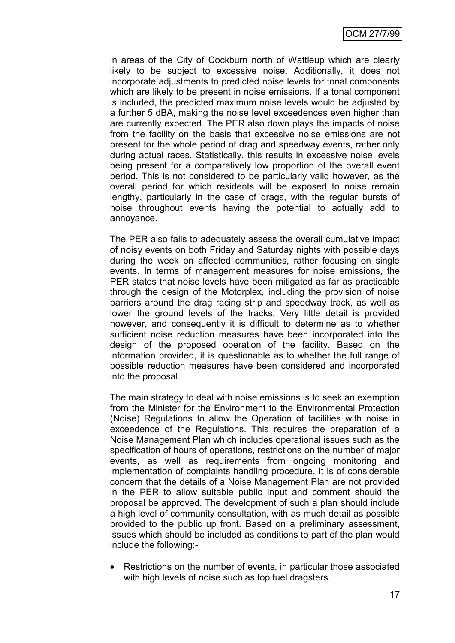in areas of the City of Cockburn north of Wattleup which are clearly likely to be subject to excessive noise. Additionally, it does not incorporate adjustments to predicted noise levels for tonal components which are likely to be present in noise emissions. If a tonal component is included, the predicted maximum noise levels would be adjusted by a further 5 dBA, making the noise level exceedences even higher than are currently expected. The PER also down plays the impacts of noise from the facility on the basis that excessive noise emissions are not present for the whole period of drag and speedway events, rather only during actual races. Statistically, this results in excessive noise levels being present for a comparatively low proportion of the overall event period. This is not considered to be particularly valid however, as the overall period for which residents will be exposed to noise remain lengthy, particularly in the case of drags, with the regular bursts of noise throughout events having the potential to actually add to annoyance.

The PER also fails to adequately assess the overall cumulative impact of noisy events on both Friday and Saturday nights with possible days during the week on affected communities, rather focusing on single events. In terms of management measures for noise emissions, the PER states that noise levels have been mitigated as far as practicable through the design of the Motorplex, including the provision of noise barriers around the drag racing strip and speedway track, as well as lower the ground levels of the tracks. Very little detail is provided however, and consequently it is difficult to determine as to whether sufficient noise reduction measures have been incorporated into the design of the proposed operation of the facility. Based on the information provided, it is questionable as to whether the full range of possible reduction measures have been considered and incorporated into the proposal.

The main strategy to deal with noise emissions is to seek an exemption from the Minister for the Environment to the Environmental Protection (Noise) Regulations to allow the Operation of facilities with noise in exceedence of the Regulations. This requires the preparation of a Noise Management Plan which includes operational issues such as the specification of hours of operations, restrictions on the number of major events, as well as requirements from ongoing monitoring and implementation of complaints handling procedure. It is of considerable concern that the details of a Noise Management Plan are not provided in the PER to allow suitable public input and comment should the proposal be approved. The development of such a plan should include a high level of community consultation, with as much detail as possible provided to the public up front. Based on a preliminary assessment, issues which should be included as conditions to part of the plan would include the following:-

 Restrictions on the number of events, in particular those associated with high levels of noise such as top fuel dragsters.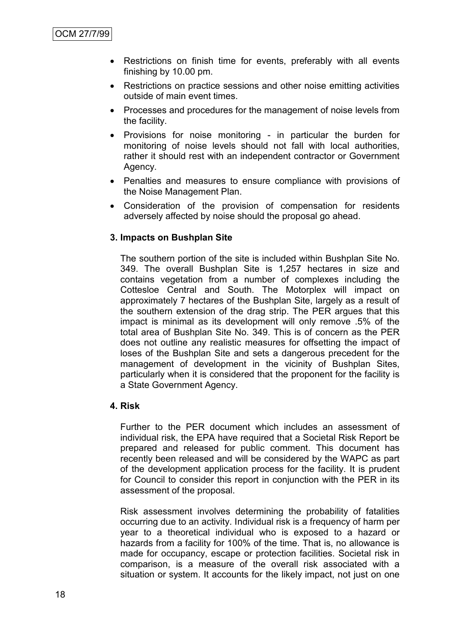- Restrictions on finish time for events, preferably with all events finishing by 10.00 pm.
- Restrictions on practice sessions and other noise emitting activities outside of main event times.
- Processes and procedures for the management of noise levels from the facility.
- Provisions for noise monitoring in particular the burden for monitoring of noise levels should not fall with local authorities, rather it should rest with an independent contractor or Government Agency.
- Penalties and measures to ensure compliance with provisions of the Noise Management Plan.
- Consideration of the provision of compensation for residents adversely affected by noise should the proposal go ahead.

### **3. Impacts on Bushplan Site**

The southern portion of the site is included within Bushplan Site No. 349. The overall Bushplan Site is 1,257 hectares in size and contains vegetation from a number of complexes including the Cottesloe Central and South. The Motorplex will impact on approximately 7 hectares of the Bushplan Site, largely as a result of the southern extension of the drag strip. The PER argues that this impact is minimal as its development will only remove .5% of the total area of Bushplan Site No. 349. This is of concern as the PER does not outline any realistic measures for offsetting the impact of loses of the Bushplan Site and sets a dangerous precedent for the management of development in the vicinity of Bushplan Sites, particularly when it is considered that the proponent for the facility is a State Government Agency.

#### **4. Risk**

Further to the PER document which includes an assessment of individual risk, the EPA have required that a Societal Risk Report be prepared and released for public comment. This document has recently been released and will be considered by the WAPC as part of the development application process for the facility. It is prudent for Council to consider this report in conjunction with the PER in its assessment of the proposal.

Risk assessment involves determining the probability of fatalities occurring due to an activity. Individual risk is a frequency of harm per year to a theoretical individual who is exposed to a hazard or hazards from a facility for 100% of the time. That is, no allowance is made for occupancy, escape or protection facilities. Societal risk in comparison, is a measure of the overall risk associated with a situation or system. It accounts for the likely impact, not just on one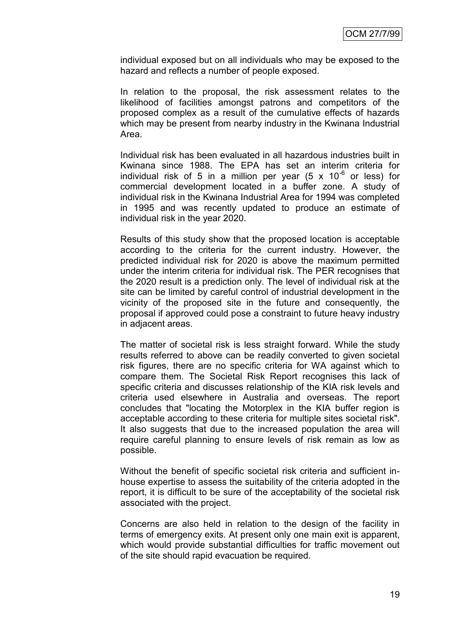individual exposed but on all individuals who may be exposed to the hazard and reflects a number of people exposed.

In relation to the proposal, the risk assessment relates to the likelihood of facilities amongst patrons and competitors of the proposed complex as a result of the cumulative effects of hazards which may be present from nearby industry in the Kwinana Industrial Area.

Individual risk has been evaluated in all hazardous industries built in Kwinana since 1988. The EPA has set an interim criteria for individual risk of 5 in a million per year  $(5 \times 10^{-6}$  or less) for commercial development located in a buffer zone. A study of individual risk in the Kwinana Industrial Area for 1994 was completed in 1995 and was recently updated to produce an estimate of individual risk in the year 2020.

Results of this study show that the proposed location is acceptable according to the criteria for the current industry. However, the predicted individual risk for 2020 is above the maximum permitted under the interim criteria for individual risk. The PER recognises that the 2020 result is a prediction only. The level of individual risk at the site can be limited by careful control of industrial development in the vicinity of the proposed site in the future and consequently, the proposal if approved could pose a constraint to future heavy industry in adjacent areas.

The matter of societal risk is less straight forward. While the study results referred to above can be readily converted to given societal risk figures, there are no specific criteria for WA against which to compare them. The Societal Risk Report recognises this lack of specific criteria and discusses relationship of the KIA risk levels and criteria used elsewhere in Australia and overseas. The report concludes that "locating the Motorplex in the KIA buffer region is acceptable according to these criteria for multiple sites societal risk". It also suggests that due to the increased population the area will require careful planning to ensure levels of risk remain as low as possible.

Without the benefit of specific societal risk criteria and sufficient inhouse expertise to assess the suitability of the criteria adopted in the report, it is difficult to be sure of the acceptability of the societal risk associated with the project.

Concerns are also held in relation to the design of the facility in terms of emergency exits. At present only one main exit is apparent, which would provide substantial difficulties for traffic movement out of the site should rapid evacuation be required.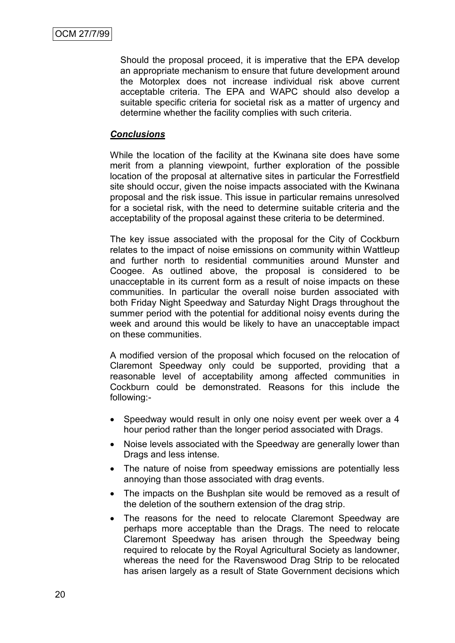Should the proposal proceed, it is imperative that the EPA develop an appropriate mechanism to ensure that future development around the Motorplex does not increase individual risk above current acceptable criteria. The EPA and WAPC should also develop a suitable specific criteria for societal risk as a matter of urgency and determine whether the facility complies with such criteria.

### *Conclusions*

While the location of the facility at the Kwinana site does have some merit from a planning viewpoint, further exploration of the possible location of the proposal at alternative sites in particular the Forrestfield site should occur, given the noise impacts associated with the Kwinana proposal and the risk issue. This issue in particular remains unresolved for a societal risk, with the need to determine suitable criteria and the acceptability of the proposal against these criteria to be determined.

The key issue associated with the proposal for the City of Cockburn relates to the impact of noise emissions on community within Wattleup and further north to residential communities around Munster and Coogee. As outlined above, the proposal is considered to be unacceptable in its current form as a result of noise impacts on these communities. In particular the overall noise burden associated with both Friday Night Speedway and Saturday Night Drags throughout the summer period with the potential for additional noisy events during the week and around this would be likely to have an unacceptable impact on these communities.

A modified version of the proposal which focused on the relocation of Claremont Speedway only could be supported, providing that a reasonable level of acceptability among affected communities in Cockburn could be demonstrated. Reasons for this include the following:-

- Speedway would result in only one noisy event per week over a 4 hour period rather than the longer period associated with Drags.
- Noise levels associated with the Speedway are generally lower than Drags and less intense.
- The nature of noise from speedway emissions are potentially less annoying than those associated with drag events.
- The impacts on the Bushplan site would be removed as a result of the deletion of the southern extension of the drag strip.
- The reasons for the need to relocate Claremont Speedway are perhaps more acceptable than the Drags. The need to relocate Claremont Speedway has arisen through the Speedway being required to relocate by the Royal Agricultural Society as landowner, whereas the need for the Ravenswood Drag Strip to be relocated has arisen largely as a result of State Government decisions which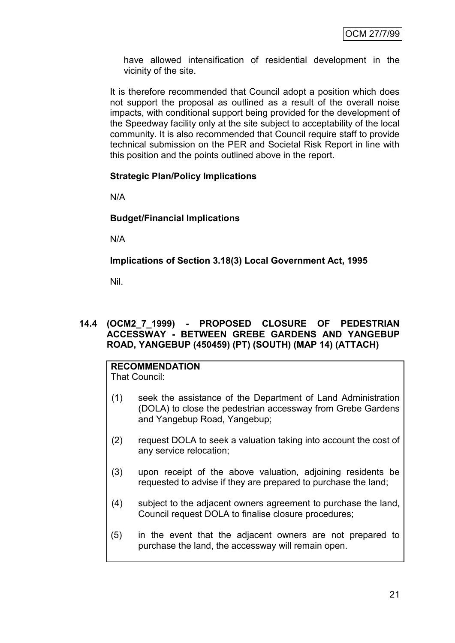have allowed intensification of residential development in the vicinity of the site.

It is therefore recommended that Council adopt a position which does not support the proposal as outlined as a result of the overall noise impacts, with conditional support being provided for the development of the Speedway facility only at the site subject to acceptability of the local community. It is also recommended that Council require staff to provide technical submission on the PER and Societal Risk Report in line with this position and the points outlined above in the report.

### **Strategic Plan/Policy Implications**

N/A

### **Budget/Financial Implications**

N/A

**Implications of Section 3.18(3) Local Government Act, 1995**

Nil.

### **14.4 (OCM2\_7\_1999) - PROPOSED CLOSURE OF PEDESTRIAN ACCESSWAY - BETWEEN GREBE GARDENS AND YANGEBUP ROAD, YANGEBUP (450459) (PT) (SOUTH) (MAP 14) (ATTACH)**

#### **RECOMMENDATION** That Council:

- (1) seek the assistance of the Department of Land Administration (DOLA) to close the pedestrian accessway from Grebe Gardens and Yangebup Road, Yangebup;
- (2) request DOLA to seek a valuation taking into account the cost of any service relocation;
- (3) upon receipt of the above valuation, adjoining residents be requested to advise if they are prepared to purchase the land;
- (4) subject to the adjacent owners agreement to purchase the land, Council request DOLA to finalise closure procedures;
- (5) in the event that the adjacent owners are not prepared to purchase the land, the accessway will remain open.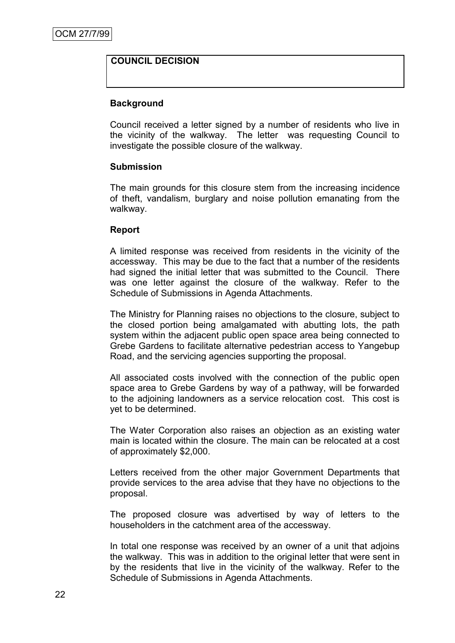### **COUNCIL DECISION**

### **Background**

Council received a letter signed by a number of residents who live in the vicinity of the walkway. The letter was requesting Council to investigate the possible closure of the walkway.

#### **Submission**

The main grounds for this closure stem from the increasing incidence of theft, vandalism, burglary and noise pollution emanating from the walkway.

#### **Report**

A limited response was received from residents in the vicinity of the accessway. This may be due to the fact that a number of the residents had signed the initial letter that was submitted to the Council. There was one letter against the closure of the walkway. Refer to the Schedule of Submissions in Agenda Attachments.

The Ministry for Planning raises no objections to the closure, subject to the closed portion being amalgamated with abutting lots, the path system within the adjacent public open space area being connected to Grebe Gardens to facilitate alternative pedestrian access to Yangebup Road, and the servicing agencies supporting the proposal.

All associated costs involved with the connection of the public open space area to Grebe Gardens by way of a pathway, will be forwarded to the adjoining landowners as a service relocation cost. This cost is yet to be determined.

The Water Corporation also raises an objection as an existing water main is located within the closure. The main can be relocated at a cost of approximately \$2,000.

Letters received from the other major Government Departments that provide services to the area advise that they have no objections to the proposal.

The proposed closure was advertised by way of letters to the householders in the catchment area of the accessway.

In total one response was received by an owner of a unit that adjoins the walkway. This was in addition to the original letter that were sent in by the residents that live in the vicinity of the walkway. Refer to the Schedule of Submissions in Agenda Attachments.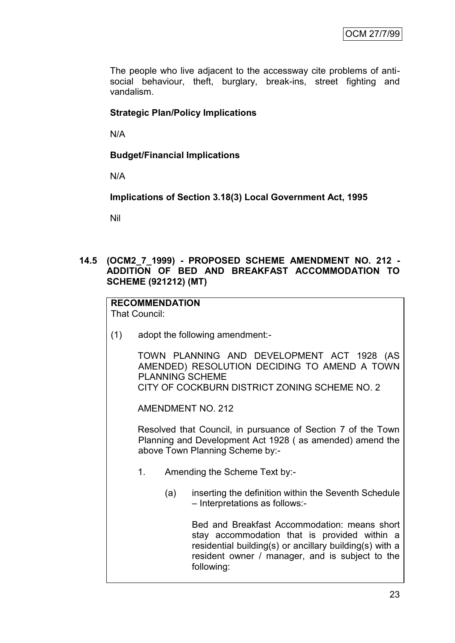The people who live adjacent to the accessway cite problems of antisocial behaviour, theft, burglary, break-ins, street fighting and vandalism.

# **Strategic Plan/Policy Implications**

N/A

# **Budget/Financial Implications**

N/A

**Implications of Section 3.18(3) Local Government Act, 1995**

Nil

### **14.5 (OCM2\_7\_1999) - PROPOSED SCHEME AMENDMENT NO. 212 - ADDITION OF BED AND BREAKFAST ACCOMMODATION TO SCHEME (921212) (MT)**

# **RECOMMENDATION**

That Council:

(1) adopt the following amendment:-

TOWN PLANNING AND DEVELOPMENT ACT 1928 (AS AMENDED) RESOLUTION DECIDING TO AMEND A TOWN PLANNING SCHEME CITY OF COCKBURN DISTRICT ZONING SCHEME NO. 2

AMENDMENT NO. 212

Resolved that Council, in pursuance of Section 7 of the Town Planning and Development Act 1928 ( as amended) amend the above Town Planning Scheme by:-

- 1. Amending the Scheme Text by:-
	- (a) inserting the definition within the Seventh Schedule – Interpretations as follows:-

Bed and Breakfast Accommodation: means short stay accommodation that is provided within a residential building(s) or ancillary building(s) with a resident owner / manager, and is subject to the following: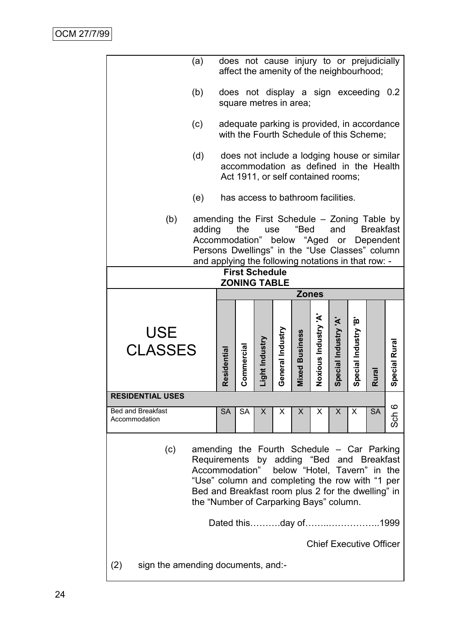|                                                  | (a)                                                                                                                                                                                                                                                           |                      |                                              |                |                  |                        | does not cause injury to or prejudicially<br>affect the amenity of the neighbourhood;                                       |                      |                      |           |               |
|--------------------------------------------------|---------------------------------------------------------------------------------------------------------------------------------------------------------------------------------------------------------------------------------------------------------------|----------------------|----------------------------------------------|----------------|------------------|------------------------|-----------------------------------------------------------------------------------------------------------------------------|----------------------|----------------------|-----------|---------------|
|                                                  | (b)                                                                                                                                                                                                                                                           |                      |                                              |                |                  | square metres in area; | does not display a sign exceeding 0.2                                                                                       |                      |                      |           |               |
|                                                  | (c)                                                                                                                                                                                                                                                           |                      |                                              |                |                  |                        | adequate parking is provided, in accordance<br>with the Fourth Schedule of this Scheme;                                     |                      |                      |           |               |
|                                                  | (d)                                                                                                                                                                                                                                                           |                      |                                              |                |                  |                        | does not include a lodging house or similar<br>accommodation as defined in the Health<br>Act 1911, or self contained rooms; |                      |                      |           |               |
|                                                  | (e)                                                                                                                                                                                                                                                           |                      |                                              |                |                  |                        | has access to bathroom facilities.                                                                                          |                      |                      |           |               |
| (b)                                              | amending the First Schedule - Zoning Table by<br>"Bed<br>adding<br>the<br>and<br><b>Breakfast</b><br>use<br>Accommodation" below "Aged or Dependent<br>Persons Dwellings" in the "Use Classes" column<br>and applying the following notations in that row: -  |                      |                                              |                |                  |                        |                                                                                                                             |                      |                      |           |               |
|                                                  |                                                                                                                                                                                                                                                               |                      | <b>First Schedule</b><br><b>ZONING TABLE</b> |                |                  |                        |                                                                                                                             |                      |                      |           |               |
|                                                  |                                                                                                                                                                                                                                                               |                      |                                              |                |                  |                        | <b>Zones</b>                                                                                                                |                      |                      |           |               |
|                                                  |                                                                                                                                                                                                                                                               |                      |                                              |                |                  |                        |                                                                                                                             |                      |                      |           |               |
|                                                  |                                                                                                                                                                                                                                                               |                      |                                              |                |                  |                        |                                                                                                                             |                      |                      |           |               |
| <b>USE</b><br><b>CLASSES</b>                     |                                                                                                                                                                                                                                                               | Residential          | Commercial                                   | Light Industry | General Industry | <b>Mixed Business</b>  | Noxious Industry 'A'                                                                                                        | Special Industry 'A' | Special Industry 'B' | Rural     | Special Rural |
| <b>RESIDENTIAL USES</b>                          |                                                                                                                                                                                                                                                               |                      |                                              |                |                  |                        |                                                                                                                             |                      |                      |           |               |
| <b>Bed and Breakfast</b><br>Accommodation        |                                                                                                                                                                                                                                                               | <b>SA</b>            | <b>SA</b>                                    | X              | X                | X                      | X                                                                                                                           | X.                   | X                    | <b>SA</b> | O<br>Sch      |
| (c)<br>sign the amending documents, and:-<br>(2) | amending the Fourth Schedule – Car Parking<br>Requirements by adding "Bed and Breakfast<br>Accommodation"<br>"Use" column and completing the row with "1 per<br>Bed and Breakfast room plus 2 for the dwelling" in<br>the "Number of Carparking Bays" column. | Dated thisday of1999 |                                              |                |                  |                        | below "Hotel, Tavern" in the<br><b>Chief Executive Officer</b>                                                              |                      |                      |           |               |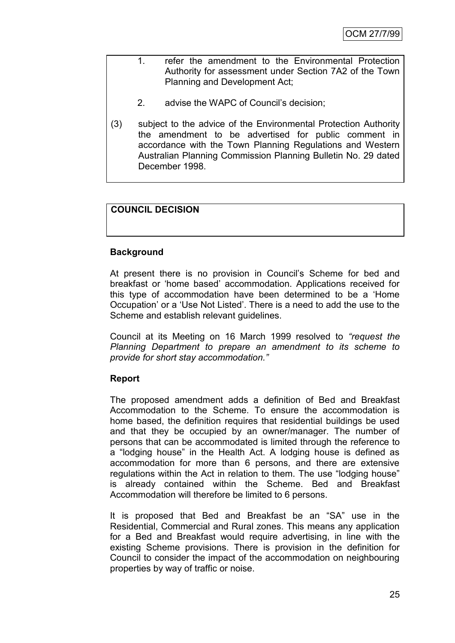- 1. refer the amendment to the Environmental Protection Authority for assessment under Section 7A2 of the Town Planning and Development Act;
	- 2. advise the WAPC of Council's decision;
- (3) subject to the advice of the Environmental Protection Authority the amendment to be advertised for public comment in accordance with the Town Planning Regulations and Western Australian Planning Commission Planning Bulletin No. 29 dated December 1998.

# **COUNCIL DECISION**

### **Background**

At present there is no provision in Council's Scheme for bed and breakfast or 'home based' accommodation. Applications received for this type of accommodation have been determined to be a 'Home' Occupation' or a ‗Use Not Listed'. There is a need to add the use to the Scheme and establish relevant guidelines.

Council at its Meeting on 16 March 1999 resolved to *"request the Planning Department to prepare an amendment to its scheme to provide for short stay accommodation."*

### **Report**

The proposed amendment adds a definition of Bed and Breakfast Accommodation to the Scheme. To ensure the accommodation is home based, the definition requires that residential buildings be used and that they be occupied by an owner/manager. The number of persons that can be accommodated is limited through the reference to a "lodging house" in the Health Act. A lodging house is defined as accommodation for more than 6 persons, and there are extensive regulations within the Act in relation to them. The use "lodging house" is already contained within the Scheme. Bed and Breakfast Accommodation will therefore be limited to 6 persons.

It is proposed that Bed and Breakfast be an "SA" use in the Residential, Commercial and Rural zones. This means any application for a Bed and Breakfast would require advertising, in line with the existing Scheme provisions. There is provision in the definition for Council to consider the impact of the accommodation on neighbouring properties by way of traffic or noise.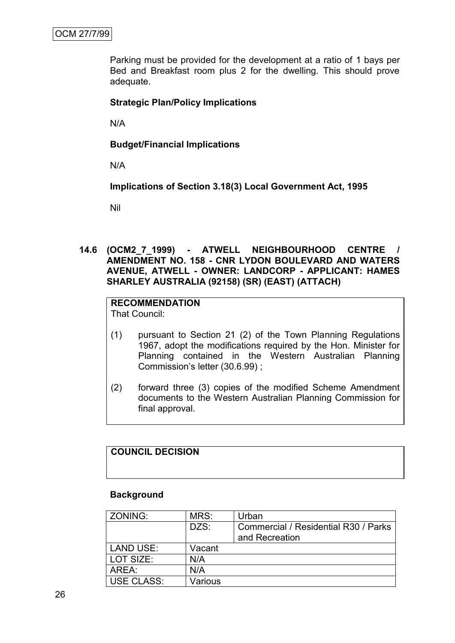Parking must be provided for the development at a ratio of 1 bays per Bed and Breakfast room plus 2 for the dwelling. This should prove adequate.

### **Strategic Plan/Policy Implications**

N/A

**Budget/Financial Implications**

N/A

**Implications of Section 3.18(3) Local Government Act, 1995**

Nil

**14.6 (OCM2\_7\_1999) - ATWELL NEIGHBOURHOOD CENTRE / AMENDMENT NO. 158 - CNR LYDON BOULEVARD AND WATERS AVENUE, ATWELL - OWNER: LANDCORP - APPLICANT: HAMES SHARLEY AUSTRALIA (92158) (SR) (EAST) (ATTACH)**

# **RECOMMENDATION**

That Council:

- (1) pursuant to Section 21 (2) of the Town Planning Regulations 1967, adopt the modifications required by the Hon. Minister for Planning contained in the Western Australian Planning Commission's letter (30.6.99) ;
- (2) forward three (3) copies of the modified Scheme Amendment documents to the Western Australian Planning Commission for final approval.

### **COUNCIL DECISION**

#### **Background**

| ZONING:          | MRS:    | Urban                                                  |
|------------------|---------|--------------------------------------------------------|
|                  | DZS:    | Commercial / Residential R30 / Parks<br>and Recreation |
| <b>LAND USE:</b> | Vacant  |                                                        |
| LOT SIZE:        | N/A     |                                                        |
| AREA:            | N/A     |                                                        |
| USE CLASS:       | Various |                                                        |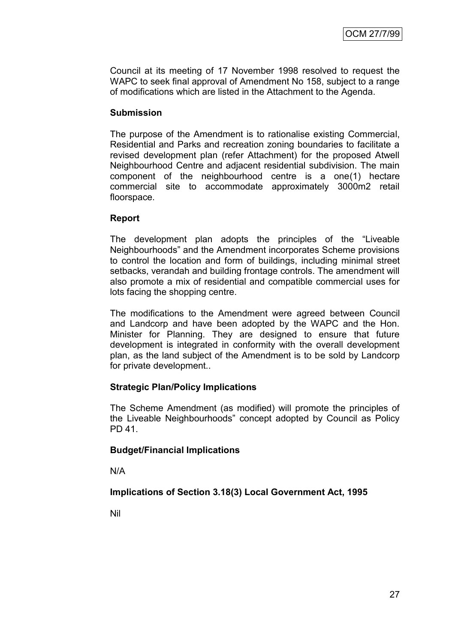Council at its meeting of 17 November 1998 resolved to request the WAPC to seek final approval of Amendment No 158, subject to a range of modifications which are listed in the Attachment to the Agenda.

### **Submission**

The purpose of the Amendment is to rationalise existing Commercial, Residential and Parks and recreation zoning boundaries to facilitate a revised development plan (refer Attachment) for the proposed Atwell Neighbourhood Centre and adjacent residential subdivision. The main component of the neighbourhood centre is a one(1) hectare commercial site to accommodate approximately 3000m2 retail floorspace.

### **Report**

The development plan adopts the principles of the "Liveable" Neighbourhoods" and the Amendment incorporates Scheme provisions to control the location and form of buildings, including minimal street setbacks, verandah and building frontage controls. The amendment will also promote a mix of residential and compatible commercial uses for lots facing the shopping centre.

The modifications to the Amendment were agreed between Council and Landcorp and have been adopted by the WAPC and the Hon. Minister for Planning. They are designed to ensure that future development is integrated in conformity with the overall development plan, as the land subject of the Amendment is to be sold by Landcorp for private development..

# **Strategic Plan/Policy Implications**

The Scheme Amendment (as modified) will promote the principles of the Liveable Neighbourhoods‖ concept adopted by Council as Policy PD 41.

# **Budget/Financial Implications**

N/A

# **Implications of Section 3.18(3) Local Government Act, 1995**

Nil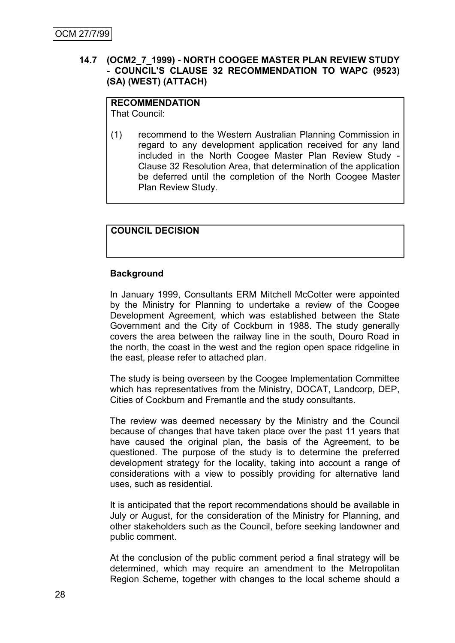### **14.7 (OCM2\_7\_1999) - NORTH COOGEE MASTER PLAN REVIEW STUDY - COUNCIL'S CLAUSE 32 RECOMMENDATION TO WAPC (9523) (SA) (WEST) (ATTACH)**

#### **RECOMMENDATION** That Council:

(1) recommend to the Western Australian Planning Commission in regard to any development application received for any land included in the North Coogee Master Plan Review Study - Clause 32 Resolution Area, that determination of the application be deferred until the completion of the North Coogee Master Plan Review Study.

## **COUNCIL DECISION**

### **Background**

In January 1999, Consultants ERM Mitchell McCotter were appointed by the Ministry for Planning to undertake a review of the Coogee Development Agreement, which was established between the State Government and the City of Cockburn in 1988. The study generally covers the area between the railway line in the south, Douro Road in the north, the coast in the west and the region open space ridgeline in the east, please refer to attached plan.

The study is being overseen by the Coogee Implementation Committee which has representatives from the Ministry, DOCAT, Landcorp, DEP, Cities of Cockburn and Fremantle and the study consultants.

The review was deemed necessary by the Ministry and the Council because of changes that have taken place over the past 11 years that have caused the original plan, the basis of the Agreement, to be questioned. The purpose of the study is to determine the preferred development strategy for the locality, taking into account a range of considerations with a view to possibly providing for alternative land uses, such as residential.

It is anticipated that the report recommendations should be available in July or August, for the consideration of the Ministry for Planning, and other stakeholders such as the Council, before seeking landowner and public comment.

At the conclusion of the public comment period a final strategy will be determined, which may require an amendment to the Metropolitan Region Scheme, together with changes to the local scheme should a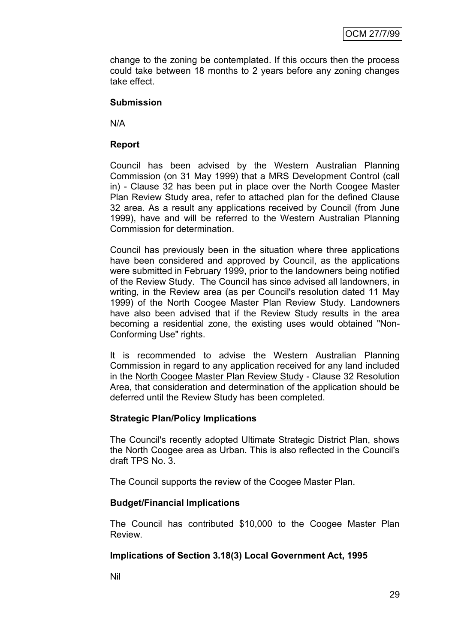change to the zoning be contemplated. If this occurs then the process could take between 18 months to 2 years before any zoning changes take effect.

### **Submission**

N/A

### **Report**

Council has been advised by the Western Australian Planning Commission (on 31 May 1999) that a MRS Development Control (call in) - Clause 32 has been put in place over the North Coogee Master Plan Review Study area, refer to attached plan for the defined Clause 32 area. As a result any applications received by Council (from June 1999), have and will be referred to the Western Australian Planning Commission for determination.

Council has previously been in the situation where three applications have been considered and approved by Council, as the applications were submitted in February 1999, prior to the landowners being notified of the Review Study. The Council has since advised all landowners, in writing, in the Review area (as per Council's resolution dated 11 May 1999) of the North Coogee Master Plan Review Study. Landowners have also been advised that if the Review Study results in the area becoming a residential zone, the existing uses would obtained "Non-Conforming Use" rights.

It is recommended to advise the Western Australian Planning Commission in regard to any application received for any land included in the North Coogee Master Plan Review Study - Clause 32 Resolution Area, that consideration and determination of the application should be deferred until the Review Study has been completed.

### **Strategic Plan/Policy Implications**

The Council's recently adopted Ultimate Strategic District Plan, shows the North Coogee area as Urban. This is also reflected in the Council's draft TPS No. 3.

The Council supports the review of the Coogee Master Plan.

### **Budget/Financial Implications**

The Council has contributed \$10,000 to the Coogee Master Plan Review.

### **Implications of Section 3.18(3) Local Government Act, 1995**

Nil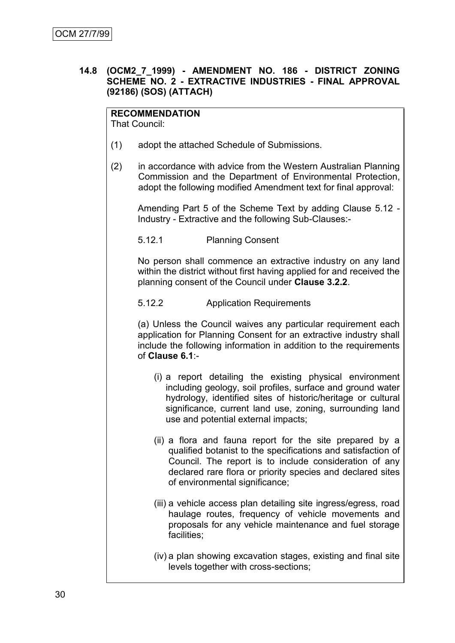### **14.8 (OCM2\_7\_1999) - AMENDMENT NO. 186 - DISTRICT ZONING SCHEME NO. 2 - EXTRACTIVE INDUSTRIES - FINAL APPROVAL (92186) (SOS) (ATTACH)**

# **RECOMMENDATION**

That Council:

- (1) adopt the attached Schedule of Submissions.
- (2) in accordance with advice from the Western Australian Planning Commission and the Department of Environmental Protection, adopt the following modified Amendment text for final approval:

Amending Part 5 of the Scheme Text by adding Clause 5.12 - Industry - Extractive and the following Sub-Clauses:-

5.12.1 Planning Consent

No person shall commence an extractive industry on any land within the district without first having applied for and received the planning consent of the Council under **Clause 3.2.2**.

5.12.2 Application Requirements

(a) Unless the Council waives any particular requirement each application for Planning Consent for an extractive industry shall include the following information in addition to the requirements of **Clause 6.1**:-

- (i) a report detailing the existing physical environment including geology, soil profiles, surface and ground water hydrology, identified sites of historic/heritage or cultural significance, current land use, zoning, surrounding land use and potential external impacts;
- (ii) a flora and fauna report for the site prepared by a qualified botanist to the specifications and satisfaction of Council. The report is to include consideration of any declared rare flora or priority species and declared sites of environmental significance;
- (iii) a vehicle access plan detailing site ingress/egress, road haulage routes, frequency of vehicle movements and proposals for any vehicle maintenance and fuel storage facilities;
- (iv) a plan showing excavation stages, existing and final site levels together with cross-sections;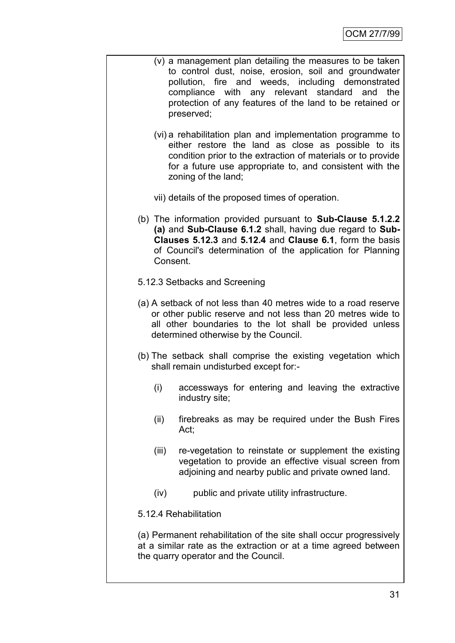- (v) a management plan detailing the measures to be taken to control dust, noise, erosion, soil and groundwater pollution, fire and weeds, including demonstrated compliance with any relevant standard and the protection of any features of the land to be retained or preserved;
	- (vi) a rehabilitation plan and implementation programme to either restore the land as close as possible to its condition prior to the extraction of materials or to provide for a future use appropriate to, and consistent with the zoning of the land;
	- vii) details of the proposed times of operation.
- (b) The information provided pursuant to **Sub-Clause 5.1.2.2 (a)** and **Sub-Clause 6.1.2** shall, having due regard to **Sub-Clauses 5.12.3** and **5.12.4** and **Clause 6.1**, form the basis of Council's determination of the application for Planning Consent.
- 5.12.3 Setbacks and Screening
- (a) A setback of not less than 40 metres wide to a road reserve or other public reserve and not less than 20 metres wide to all other boundaries to the lot shall be provided unless determined otherwise by the Council.
- (b) The setback shall comprise the existing vegetation which shall remain undisturbed except for:-
	- (i) accessways for entering and leaving the extractive industry site;
	- (ii) firebreaks as may be required under the Bush Fires Act;
	- (iii) re-vegetation to reinstate or supplement the existing vegetation to provide an effective visual screen from adjoining and nearby public and private owned land.
	- (iv) public and private utility infrastructure.
- 5.12.4 Rehabilitation

(a) Permanent rehabilitation of the site shall occur progressively at a similar rate as the extraction or at a time agreed between the quarry operator and the Council.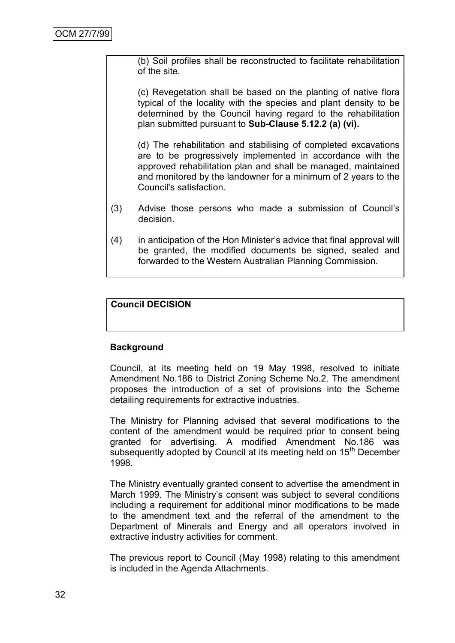(b) Soil profiles shall be reconstructed to facilitate rehabilitation of the site.

(c) Revegetation shall be based on the planting of native flora typical of the locality with the species and plant density to be determined by the Council having regard to the rehabilitation plan submitted pursuant to **Sub-Clause 5.12.2 (a) (vi).**

(d) The rehabilitation and stabilising of completed excavations are to be progressively implemented in accordance with the approved rehabilitation plan and shall be managed, maintained and monitored by the landowner for a minimum of 2 years to the Council's satisfaction.

- (3) Advise those persons who made a submission of Council's decision.
- (4) in anticipation of the Hon Minister's advice that final approval will be granted, the modified documents be signed, sealed and forwarded to the Western Australian Planning Commission.

# **Council DECISION**

# **Background**

Council, at its meeting held on 19 May 1998, resolved to initiate Amendment No.186 to District Zoning Scheme No.2. The amendment proposes the introduction of a set of provisions into the Scheme detailing requirements for extractive industries.

The Ministry for Planning advised that several modifications to the content of the amendment would be required prior to consent being granted for advertising. A modified Amendment No.186 was subsequently adopted by Council at its meeting held on 15<sup>th</sup> December 1998.

The Ministry eventually granted consent to advertise the amendment in March 1999. The Ministry's consent was subject to several conditions including a requirement for additional minor modifications to be made to the amendment text and the referral of the amendment to the Department of Minerals and Energy and all operators involved in extractive industry activities for comment.

The previous report to Council (May 1998) relating to this amendment is included in the Agenda Attachments.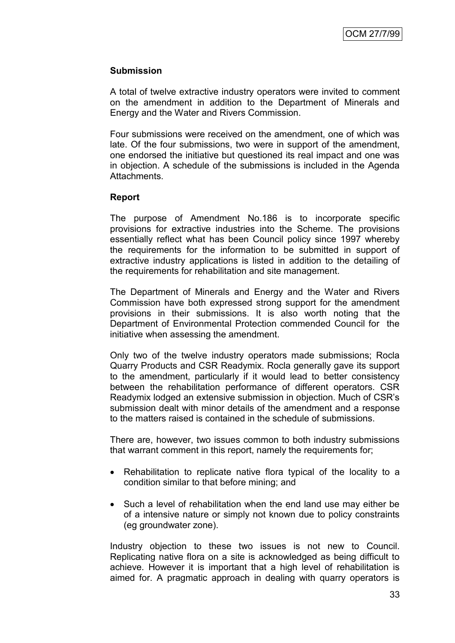### **Submission**

A total of twelve extractive industry operators were invited to comment on the amendment in addition to the Department of Minerals and Energy and the Water and Rivers Commission.

Four submissions were received on the amendment, one of which was late. Of the four submissions, two were in support of the amendment, one endorsed the initiative but questioned its real impact and one was in objection. A schedule of the submissions is included in the Agenda Attachments.

#### **Report**

The purpose of Amendment No.186 is to incorporate specific provisions for extractive industries into the Scheme. The provisions essentially reflect what has been Council policy since 1997 whereby the requirements for the information to be submitted in support of extractive industry applications is listed in addition to the detailing of the requirements for rehabilitation and site management.

The Department of Minerals and Energy and the Water and Rivers Commission have both expressed strong support for the amendment provisions in their submissions. It is also worth noting that the Department of Environmental Protection commended Council for the initiative when assessing the amendment.

Only two of the twelve industry operators made submissions; Rocla Quarry Products and CSR Readymix. Rocla generally gave its support to the amendment, particularly if it would lead to better consistency between the rehabilitation performance of different operators. CSR Readymix lodged an extensive submission in objection. Much of CSR's submission dealt with minor details of the amendment and a response to the matters raised is contained in the schedule of submissions.

There are, however, two issues common to both industry submissions that warrant comment in this report, namely the requirements for;

- Rehabilitation to replicate native flora typical of the locality to a condition similar to that before mining; and
- Such a level of rehabilitation when the end land use may either be of a intensive nature or simply not known due to policy constraints (eg groundwater zone).

Industry objection to these two issues is not new to Council. Replicating native flora on a site is acknowledged as being difficult to achieve. However it is important that a high level of rehabilitation is aimed for. A pragmatic approach in dealing with quarry operators is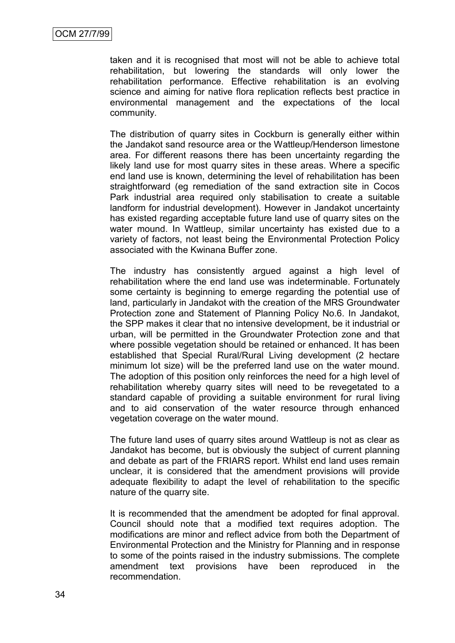taken and it is recognised that most will not be able to achieve total rehabilitation, but lowering the standards will only lower the rehabilitation performance. Effective rehabilitation is an evolving science and aiming for native flora replication reflects best practice in environmental management and the expectations of the local community.

The distribution of quarry sites in Cockburn is generally either within the Jandakot sand resource area or the Wattleup/Henderson limestone area. For different reasons there has been uncertainty regarding the likely land use for most quarry sites in these areas. Where a specific end land use is known, determining the level of rehabilitation has been straightforward (eg remediation of the sand extraction site in Cocos Park industrial area required only stabilisation to create a suitable landform for industrial development). However in Jandakot uncertainty has existed regarding acceptable future land use of quarry sites on the water mound. In Wattleup, similar uncertainty has existed due to a variety of factors, not least being the Environmental Protection Policy associated with the Kwinana Buffer zone.

The industry has consistently argued against a high level of rehabilitation where the end land use was indeterminable. Fortunately some certainty is beginning to emerge regarding the potential use of land, particularly in Jandakot with the creation of the MRS Groundwater Protection zone and Statement of Planning Policy No.6. In Jandakot, the SPP makes it clear that no intensive development, be it industrial or urban, will be permitted in the Groundwater Protection zone and that where possible vegetation should be retained or enhanced. It has been established that Special Rural/Rural Living development (2 hectare minimum lot size) will be the preferred land use on the water mound. The adoption of this position only reinforces the need for a high level of rehabilitation whereby quarry sites will need to be revegetated to a standard capable of providing a suitable environment for rural living and to aid conservation of the water resource through enhanced vegetation coverage on the water mound.

The future land uses of quarry sites around Wattleup is not as clear as Jandakot has become, but is obviously the subject of current planning and debate as part of the FRIARS report. Whilst end land uses remain unclear, it is considered that the amendment provisions will provide adequate flexibility to adapt the level of rehabilitation to the specific nature of the quarry site.

It is recommended that the amendment be adopted for final approval. Council should note that a modified text requires adoption. The modifications are minor and reflect advice from both the Department of Environmental Protection and the Ministry for Planning and in response to some of the points raised in the industry submissions. The complete amendment text provisions have been reproduced in the recommendation.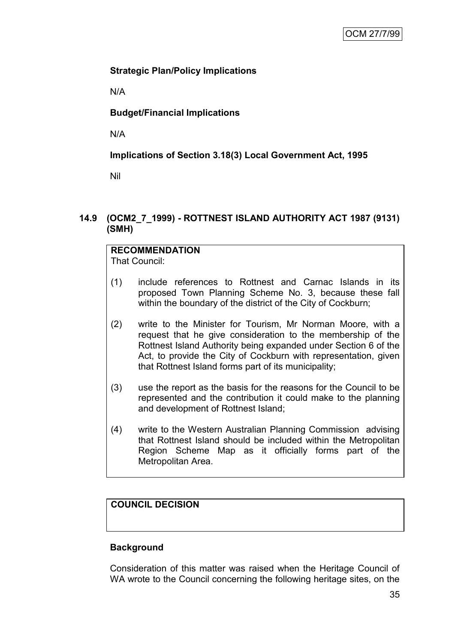# **Strategic Plan/Policy Implications**

N/A

# **Budget/Financial Implications**

N/A

# **Implications of Section 3.18(3) Local Government Act, 1995**

Nil

### **14.9 (OCM2\_7\_1999) - ROTTNEST ISLAND AUTHORITY ACT 1987 (9131) (SMH)**

# **RECOMMENDATION**

That Council:

- (1) include references to Rottnest and Carnac Islands in its proposed Town Planning Scheme No. 3, because these fall within the boundary of the district of the City of Cockburn;
- (2) write to the Minister for Tourism, Mr Norman Moore, with a request that he give consideration to the membership of the Rottnest Island Authority being expanded under Section 6 of the Act, to provide the City of Cockburn with representation, given that Rottnest Island forms part of its municipality;
- (3) use the report as the basis for the reasons for the Council to be represented and the contribution it could make to the planning and development of Rottnest Island;
- (4) write to the Western Australian Planning Commission advising that Rottnest Island should be included within the Metropolitan Region Scheme Map as it officially forms part of the Metropolitan Area.

# **COUNCIL DECISION**

# **Background**

Consideration of this matter was raised when the Heritage Council of WA wrote to the Council concerning the following heritage sites, on the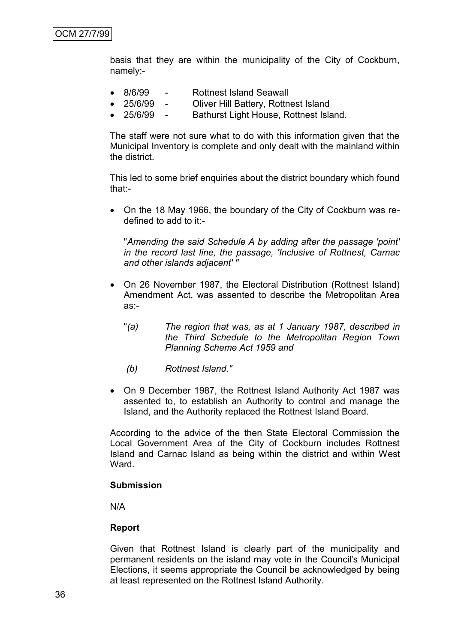basis that they are within the municipality of the City of Cockburn, namely:-

- 8/6/99 Rottnest Island Seawall
- 25/6/99 Oliver Hill Battery, Rottnest Island
- 25/6/99 Bathurst Light House, Rottnest Island.

The staff were not sure what to do with this information given that the Municipal Inventory is complete and only dealt with the mainland within the district.

This led to some brief enquiries about the district boundary which found that:-

 On the 18 May 1966, the boundary of the City of Cockburn was redefined to add to it:-

"*Amending the said Schedule A by adding after the passage 'point' in the record last line, the passage, 'Inclusive of Rottnest, Carnac and other islands adjacent' "*

- On 26 November 1987, the Electoral Distribution (Rottnest Island) Amendment Act, was assented to describe the Metropolitan Area as:-
	- "*(a) The region that was, as at 1 January 1987, described in the Third Schedule to the Metropolitan Region Town Planning Scheme Act 1959 and*
	- *(b) Rottnest Island."*
- On 9 December 1987, the Rottnest Island Authority Act 1987 was assented to, to establish an Authority to control and manage the Island, and the Authority replaced the Rottnest Island Board.

According to the advice of the then State Electoral Commission the Local Government Area of the City of Cockburn includes Rottnest Island and Carnac Island as being within the district and within West Ward.

#### **Submission**

N/A

#### **Report**

Given that Rottnest Island is clearly part of the municipality and permanent residents on the island may vote in the Council's Municipal Elections, it seems appropriate the Council be acknowledged by being at least represented on the Rottnest Island Authority.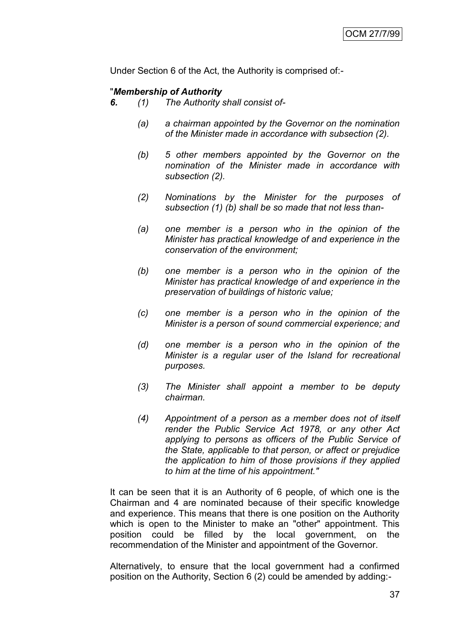Under Section 6 of the Act, the Authority is comprised of:-

### "*Membership of Authority*

- *6. (1) The Authority shall consist of-*
	- *(a) a chairman appointed by the Governor on the nomination of the Minister made in accordance with subsection (2).*
	- *(b) 5 other members appointed by the Governor on the nomination of the Minister made in accordance with subsection (2).*
	- *(2) Nominations by the Minister for the purposes of subsection (1) (b) shall be so made that not less than-*
	- *(a) one member is a person who in the opinion of the Minister has practical knowledge of and experience in the conservation of the environment;*
	- *(b) one member is a person who in the opinion of the Minister has practical knowledge of and experience in the preservation of buildings of historic value;*
	- *(c) one member is a person who in the opinion of the Minister is a person of sound commercial experience; and*
	- *(d) one member is a person who in the opinion of the Minister is a regular user of the Island for recreational purposes.*
	- *(3) The Minister shall appoint a member to be deputy chairman.*
	- *(4) Appointment of a person as a member does not of itself render the Public Service Act 1978, or any other Act applying to persons as officers of the Public Service of the State, applicable to that person, or affect or prejudice the application to him of those provisions if they applied to him at the time of his appointment."*

It can be seen that it is an Authority of 6 people, of which one is the Chairman and 4 are nominated because of their specific knowledge and experience. This means that there is one position on the Authority which is open to the Minister to make an "other" appointment. This position could be filled by the local government, on the recommendation of the Minister and appointment of the Governor.

Alternatively, to ensure that the local government had a confirmed position on the Authority, Section 6 (2) could be amended by adding:-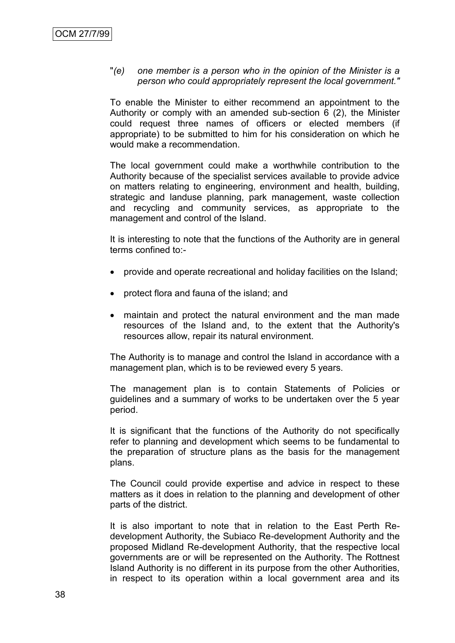### "*(e) one member is a person who in the opinion of the Minister is a person who could appropriately represent the local government."*

To enable the Minister to either recommend an appointment to the Authority or comply with an amended sub-section 6 (2), the Minister could request three names of officers or elected members (if appropriate) to be submitted to him for his consideration on which he would make a recommendation.

The local government could make a worthwhile contribution to the Authority because of the specialist services available to provide advice on matters relating to engineering, environment and health, building, strategic and landuse planning, park management, waste collection and recycling and community services, as appropriate to the management and control of the Island.

It is interesting to note that the functions of the Authority are in general terms confined to:-

- provide and operate recreational and holiday facilities on the Island;
- protect flora and fauna of the island; and
- maintain and protect the natural environment and the man made resources of the Island and, to the extent that the Authority's resources allow, repair its natural environment.

The Authority is to manage and control the Island in accordance with a management plan, which is to be reviewed every 5 years.

The management plan is to contain Statements of Policies or guidelines and a summary of works to be undertaken over the 5 year period.

It is significant that the functions of the Authority do not specifically refer to planning and development which seems to be fundamental to the preparation of structure plans as the basis for the management plans.

The Council could provide expertise and advice in respect to these matters as it does in relation to the planning and development of other parts of the district.

It is also important to note that in relation to the East Perth Redevelopment Authority, the Subiaco Re-development Authority and the proposed Midland Re-development Authority, that the respective local governments are or will be represented on the Authority. The Rottnest Island Authority is no different in its purpose from the other Authorities, in respect to its operation within a local government area and its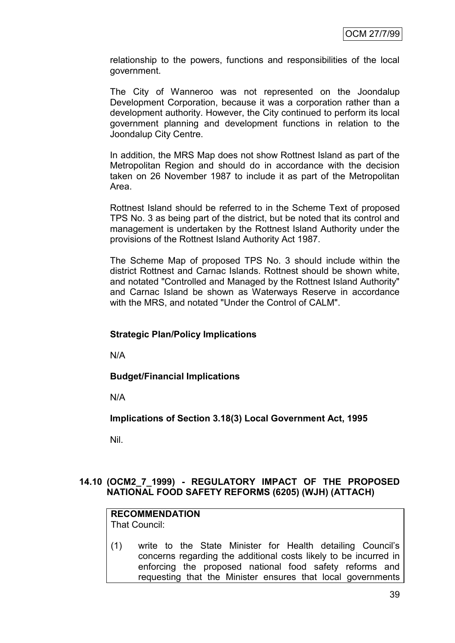relationship to the powers, functions and responsibilities of the local government.

The City of Wanneroo was not represented on the Joondalup Development Corporation, because it was a corporation rather than a development authority. However, the City continued to perform its local government planning and development functions in relation to the Joondalup City Centre.

In addition, the MRS Map does not show Rottnest Island as part of the Metropolitan Region and should do in accordance with the decision taken on 26 November 1987 to include it as part of the Metropolitan Area.

Rottnest Island should be referred to in the Scheme Text of proposed TPS No. 3 as being part of the district, but be noted that its control and management is undertaken by the Rottnest Island Authority under the provisions of the Rottnest Island Authority Act 1987.

The Scheme Map of proposed TPS No. 3 should include within the district Rottnest and Carnac Islands. Rottnest should be shown white, and notated "Controlled and Managed by the Rottnest Island Authority" and Carnac Island be shown as Waterways Reserve in accordance with the MRS, and notated "Under the Control of CALM".

### **Strategic Plan/Policy Implications**

N/A

**Budget/Financial Implications**

N/A

**Implications of Section 3.18(3) Local Government Act, 1995**

Nil.

### **14.10 (OCM2\_7\_1999) - REGULATORY IMPACT OF THE PROPOSED NATIONAL FOOD SAFETY REFORMS (6205) (WJH) (ATTACH)**

# **RECOMMENDATION**

That Council:

(1) write to the State Minister for Health detailing Council's concerns regarding the additional costs likely to be incurred in enforcing the proposed national food safety reforms and requesting that the Minister ensures that local governments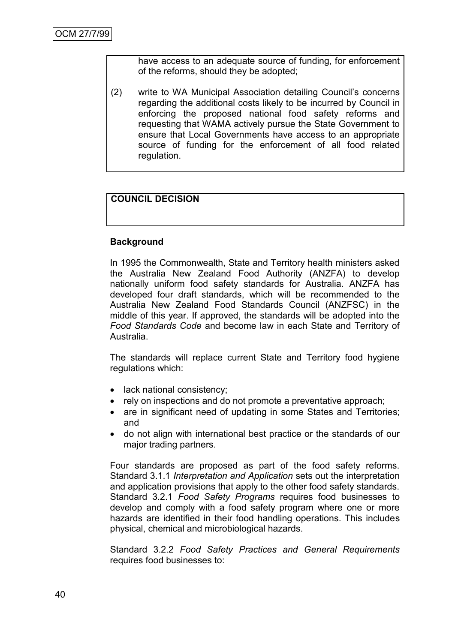have access to an adequate source of funding, for enforcement of the reforms, should they be adopted;

(2) write to WA Municipal Association detailing Council's concerns regarding the additional costs likely to be incurred by Council in enforcing the proposed national food safety reforms and requesting that WAMA actively pursue the State Government to ensure that Local Governments have access to an appropriate source of funding for the enforcement of all food related regulation.

# **COUNCIL DECISION**

### **Background**

In 1995 the Commonwealth, State and Territory health ministers asked the Australia New Zealand Food Authority (ANZFA) to develop nationally uniform food safety standards for Australia. ANZFA has developed four draft standards, which will be recommended to the Australia New Zealand Food Standards Council (ANZFSC) in the middle of this year. If approved, the standards will be adopted into the *Food Standards Code* and become law in each State and Territory of Australia.

The standards will replace current State and Territory food hygiene regulations which:

- lack national consistency;
- rely on inspections and do not promote a preventative approach;
- are in significant need of updating in some States and Territories; and
- do not align with international best practice or the standards of our major trading partners.

Four standards are proposed as part of the food safety reforms. Standard 3.1.1 *Interpretation and Application* sets out the interpretation and application provisions that apply to the other food safety standards. Standard 3.2.1 *Food Safety Programs* requires food businesses to develop and comply with a food safety program where one or more hazards are identified in their food handling operations. This includes physical, chemical and microbiological hazards.

Standard 3.2.2 *Food Safety Practices and General Requirements* requires food businesses to: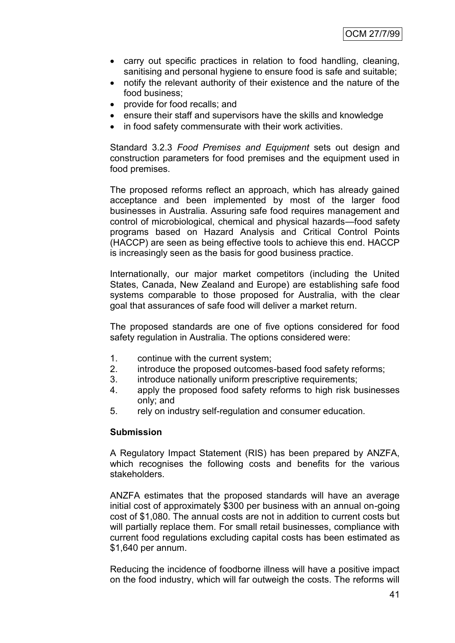- carry out specific practices in relation to food handling, cleaning, sanitising and personal hygiene to ensure food is safe and suitable;
- notify the relevant authority of their existence and the nature of the food business;
- provide for food recalls; and
- ensure their staff and supervisors have the skills and knowledge
- in food safety commensurate with their work activities.

Standard 3.2.3 *Food Premises and Equipment* sets out design and construction parameters for food premises and the equipment used in food premises.

The proposed reforms reflect an approach, which has already gained acceptance and been implemented by most of the larger food businesses in Australia. Assuring safe food requires management and control of microbiological, chemical and physical hazards—food safety programs based on Hazard Analysis and Critical Control Points (HACCP) are seen as being effective tools to achieve this end. HACCP is increasingly seen as the basis for good business practice.

Internationally, our major market competitors (including the United States, Canada, New Zealand and Europe) are establishing safe food systems comparable to those proposed for Australia, with the clear goal that assurances of safe food will deliver a market return.

The proposed standards are one of five options considered for food safety regulation in Australia. The options considered were:

- 1. continue with the current system;
- 2. introduce the proposed outcomes-based food safety reforms;
- 3. introduce nationally uniform prescriptive requirements;
- 4. apply the proposed food safety reforms to high risk businesses only; and
- 5. rely on industry self-regulation and consumer education.

### **Submission**

A Regulatory Impact Statement (RIS) has been prepared by ANZFA, which recognises the following costs and benefits for the various stakeholders.

ANZFA estimates that the proposed standards will have an average initial cost of approximately \$300 per business with an annual on-going cost of \$1,080. The annual costs are not in addition to current costs but will partially replace them. For small retail businesses, compliance with current food regulations excluding capital costs has been estimated as \$1,640 per annum.

Reducing the incidence of foodborne illness will have a positive impact on the food industry, which will far outweigh the costs. The reforms will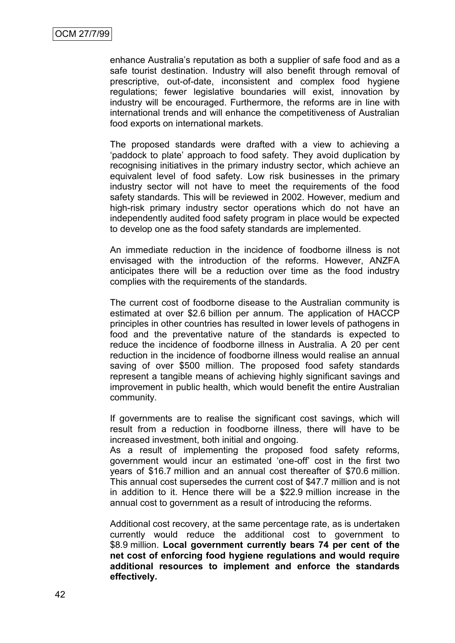enhance Australia's reputation as both a supplier of safe food and as a safe tourist destination. Industry will also benefit through removal of prescriptive, out-of-date, inconsistent and complex food hygiene regulations; fewer legislative boundaries will exist, innovation by industry will be encouraged. Furthermore, the reforms are in line with international trends and will enhance the competitiveness of Australian food exports on international markets.

The proposed standards were drafted with a view to achieving a ‗paddock to plate' approach to food safety. They avoid duplication by recognising initiatives in the primary industry sector, which achieve an equivalent level of food safety. Low risk businesses in the primary industry sector will not have to meet the requirements of the food safety standards. This will be reviewed in 2002. However, medium and high-risk primary industry sector operations which do not have an independently audited food safety program in place would be expected to develop one as the food safety standards are implemented.

An immediate reduction in the incidence of foodborne illness is not envisaged with the introduction of the reforms. However, ANZFA anticipates there will be a reduction over time as the food industry complies with the requirements of the standards.

The current cost of foodborne disease to the Australian community is estimated at over \$2.6 billion per annum. The application of HACCP principles in other countries has resulted in lower levels of pathogens in food and the preventative nature of the standards is expected to reduce the incidence of foodborne illness in Australia. A 20 per cent reduction in the incidence of foodborne illness would realise an annual saving of over \$500 million. The proposed food safety standards represent a tangible means of achieving highly significant savings and improvement in public health, which would benefit the entire Australian community.

If governments are to realise the significant cost savings, which will result from a reduction in foodborne illness, there will have to be increased investment, both initial and ongoing.

As a result of implementing the proposed food safety reforms, government would incur an estimated 'one-off' cost in the first two years of \$16.7 million and an annual cost thereafter of \$70.6 million. This annual cost supersedes the current cost of \$47.7 million and is not in addition to it. Hence there will be a \$22.9 million increase in the annual cost to government as a result of introducing the reforms.

Additional cost recovery, at the same percentage rate, as is undertaken currently would reduce the additional cost to government to \$8.9 million. **Local government currently bears 74 per cent of the net cost of enforcing food hygiene regulations and would require additional resources to implement and enforce the standards effectively.**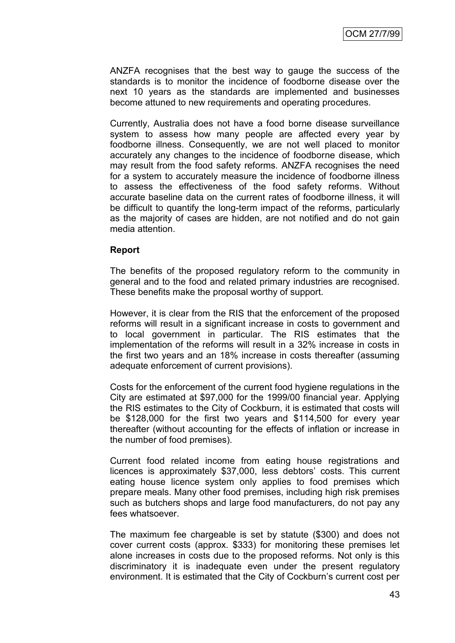ANZFA recognises that the best way to gauge the success of the standards is to monitor the incidence of foodborne disease over the next 10 years as the standards are implemented and businesses become attuned to new requirements and operating procedures.

Currently, Australia does not have a food borne disease surveillance system to assess how many people are affected every year by foodborne illness. Consequently, we are not well placed to monitor accurately any changes to the incidence of foodborne disease, which may result from the food safety reforms. ANZFA recognises the need for a system to accurately measure the incidence of foodborne illness to assess the effectiveness of the food safety reforms. Without accurate baseline data on the current rates of foodborne illness, it will be difficult to quantify the long-term impact of the reforms, particularly as the majority of cases are hidden, are not notified and do not gain media attention.

#### **Report**

The benefits of the proposed regulatory reform to the community in general and to the food and related primary industries are recognised. These benefits make the proposal worthy of support.

However, it is clear from the RIS that the enforcement of the proposed reforms will result in a significant increase in costs to government and to local government in particular. The RIS estimates that the implementation of the reforms will result in a 32% increase in costs in the first two years and an 18% increase in costs thereafter (assuming adequate enforcement of current provisions).

Costs for the enforcement of the current food hygiene regulations in the City are estimated at \$97,000 for the 1999/00 financial year. Applying the RIS estimates to the City of Cockburn, it is estimated that costs will be \$128,000 for the first two years and \$114,500 for every year thereafter (without accounting for the effects of inflation or increase in the number of food premises).

Current food related income from eating house registrations and licences is approximately \$37,000, less debtors' costs. This current eating house licence system only applies to food premises which prepare meals. Many other food premises, including high risk premises such as butchers shops and large food manufacturers, do not pay any fees whatsoever.

The maximum fee chargeable is set by statute (\$300) and does not cover current costs (approx. \$333) for monitoring these premises let alone increases in costs due to the proposed reforms. Not only is this discriminatory it is inadequate even under the present regulatory environment. It is estimated that the City of Cockburn's current cost per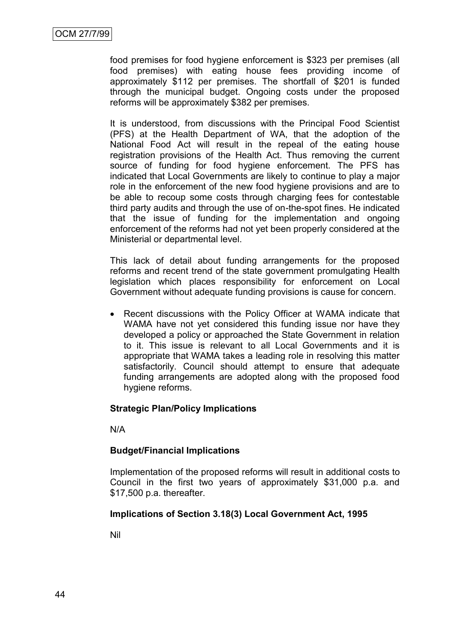food premises for food hygiene enforcement is \$323 per premises (all food premises) with eating house fees providing income of approximately \$112 per premises. The shortfall of \$201 is funded through the municipal budget. Ongoing costs under the proposed reforms will be approximately \$382 per premises.

It is understood, from discussions with the Principal Food Scientist (PFS) at the Health Department of WA, that the adoption of the National Food Act will result in the repeal of the eating house registration provisions of the Health Act. Thus removing the current source of funding for food hygiene enforcement. The PFS has indicated that Local Governments are likely to continue to play a major role in the enforcement of the new food hygiene provisions and are to be able to recoup some costs through charging fees for contestable third party audits and through the use of on-the-spot fines. He indicated that the issue of funding for the implementation and ongoing enforcement of the reforms had not yet been properly considered at the Ministerial or departmental level.

This lack of detail about funding arrangements for the proposed reforms and recent trend of the state government promulgating Health legislation which places responsibility for enforcement on Local Government without adequate funding provisions is cause for concern.

• Recent discussions with the Policy Officer at WAMA indicate that WAMA have not yet considered this funding issue nor have they developed a policy or approached the State Government in relation to it. This issue is relevant to all Local Governments and it is appropriate that WAMA takes a leading role in resolving this matter satisfactorily. Council should attempt to ensure that adequate funding arrangements are adopted along with the proposed food hygiene reforms.

### **Strategic Plan/Policy Implications**

N/A

### **Budget/Financial Implications**

Implementation of the proposed reforms will result in additional costs to Council in the first two years of approximately \$31,000 p.a. and \$17,500 p.a. thereafter.

### **Implications of Section 3.18(3) Local Government Act, 1995**

Nil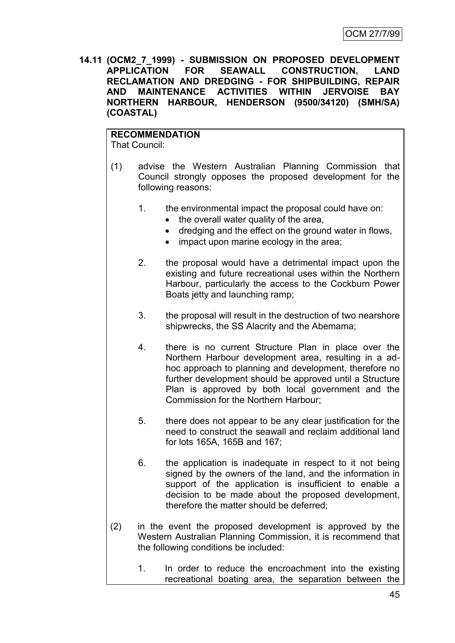**14.11 (OCM2\_7\_1999) - SUBMISSION ON PROPOSED DEVELOPMENT APPLICATION FOR SEAWALL CONSTRUCTION, LAND RECLAMATION AND DREDGING - FOR SHIPBUILDING, REPAIR AND MAINTENANCE ACTIVITIES WITHIN JERVOISE BAY NORTHERN HARBOUR, HENDERSON (9500/34120) (SMH/SA) (COASTAL)**

**RECOMMENDATION** That Council:

(1) advise the Western Australian Planning Commission that Council strongly opposes the proposed development for the following reasons:

- 1. the environmental impact the proposal could have on:
	- the overall water quality of the area,
	- dredging and the effect on the ground water in flows,
	- impact upon marine ecology in the area;
- 2. the proposal would have a detrimental impact upon the existing and future recreational uses within the Northern Harbour, particularly the access to the Cockburn Power Boats jetty and launching ramp;
- 3. the proposal will result in the destruction of two nearshore shipwrecks, the SS Alacrity and the Abemama;
- 4. there is no current Structure Plan in place over the Northern Harbour development area, resulting in a adhoc approach to planning and development, therefore no further development should be approved until a Structure Plan is approved by both local government and the Commission for the Northern Harbour;
- 5. there does not appear to be any clear justification for the need to construct the seawall and reclaim additional land for lots 165A, 165B and 167;
- 6. the application is inadequate in respect to it not being signed by the owners of the land, and the information in support of the application is insufficient to enable a decision to be made about the proposed development, therefore the matter should be deferred;
- (2) in the event the proposed development is approved by the Western Australian Planning Commission, it is recommend that the following conditions be included:
	- 1. In order to reduce the encroachment into the existing recreational boating area, the separation between the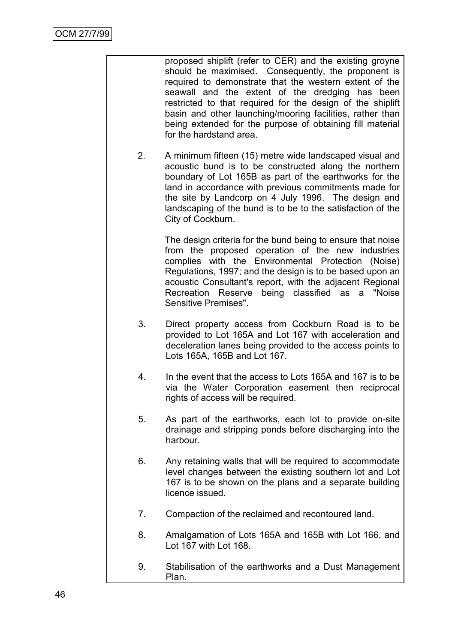proposed shiplift (refer to CER) and the existing groyne should be maximised. Consequently, the proponent is required to demonstrate that the western extent of the seawall and the extent of the dredging has been restricted to that required for the design of the shiplift basin and other launching/mooring facilities, rather than being extended for the purpose of obtaining fill material for the hardstand area.

2. A minimum fifteen (15) metre wide landscaped visual and acoustic bund is to be constructed along the northern boundary of Lot 165B as part of the earthworks for the land in accordance with previous commitments made for the site by Landcorp on 4 July 1996. The design and landscaping of the bund is to be to the satisfaction of the City of Cockburn.

> The design criteria for the bund being to ensure that noise from the proposed operation of the new industries complies with the Environmental Protection (Noise) Regulations, 1997; and the design is to be based upon an acoustic Consultant's report, with the adjacent Regional Recreation Reserve being classified as a "Noise Sensitive Premises".

- 3. Direct property access from Cockburn Road is to be provided to Lot 165A and Lot 167 with acceleration and deceleration lanes being provided to the access points to Lots 165A, 165B and Lot 167.
- 4. In the event that the access to Lots 165A and 167 is to be via the Water Corporation easement then reciprocal rights of access will be required.
- 5. As part of the earthworks, each lot to provide on-site drainage and stripping ponds before discharging into the harbour.
- 6. Any retaining walls that will be required to accommodate level changes between the existing southern lot and Lot 167 is to be shown on the plans and a separate building licence issued.
- 7. Compaction of the reclaimed and recontoured land.
- 8. Amalgamation of Lots 165A and 165B with Lot 166, and Lot 167 with Lot 168.
- 9. Stabilisation of the earthworks and a Dust Management Plan.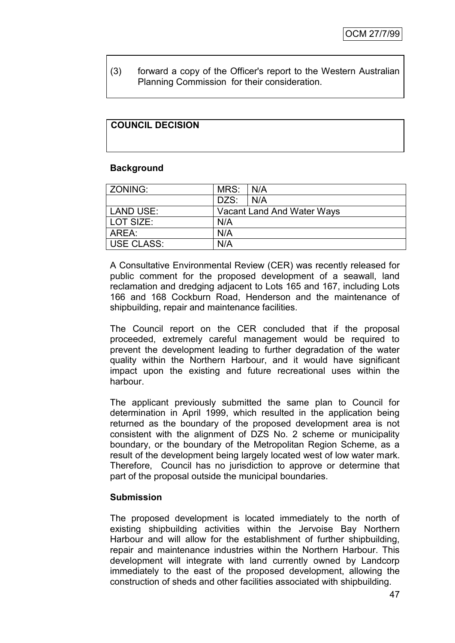(3) forward a copy of the Officer's report to the Western Australian Planning Commission for their consideration.

# **COUNCIL DECISION**

#### **Background**

| ZONING:           | MRS: | I N/A                      |
|-------------------|------|----------------------------|
|                   | DZS: | N/A                        |
| LAND USE:         |      | Vacant Land And Water Ways |
| LOT SIZE:         | N/A  |                            |
| AREA:             | N/A  |                            |
| <b>USE CLASS:</b> | N/A  |                            |

A Consultative Environmental Review (CER) was recently released for public comment for the proposed development of a seawall, land reclamation and dredging adjacent to Lots 165 and 167, including Lots 166 and 168 Cockburn Road, Henderson and the maintenance of shipbuilding, repair and maintenance facilities.

The Council report on the CER concluded that if the proposal proceeded, extremely careful management would be required to prevent the development leading to further degradation of the water quality within the Northern Harbour, and it would have significant impact upon the existing and future recreational uses within the harbour.

The applicant previously submitted the same plan to Council for determination in April 1999, which resulted in the application being returned as the boundary of the proposed development area is not consistent with the alignment of DZS No. 2 scheme or municipality boundary, or the boundary of the Metropolitan Region Scheme, as a result of the development being largely located west of low water mark. Therefore, Council has no jurisdiction to approve or determine that part of the proposal outside the municipal boundaries.

### **Submission**

The proposed development is located immediately to the north of existing shipbuilding activities within the Jervoise Bay Northern Harbour and will allow for the establishment of further shipbuilding, repair and maintenance industries within the Northern Harbour. This development will integrate with land currently owned by Landcorp immediately to the east of the proposed development, allowing the construction of sheds and other facilities associated with shipbuilding.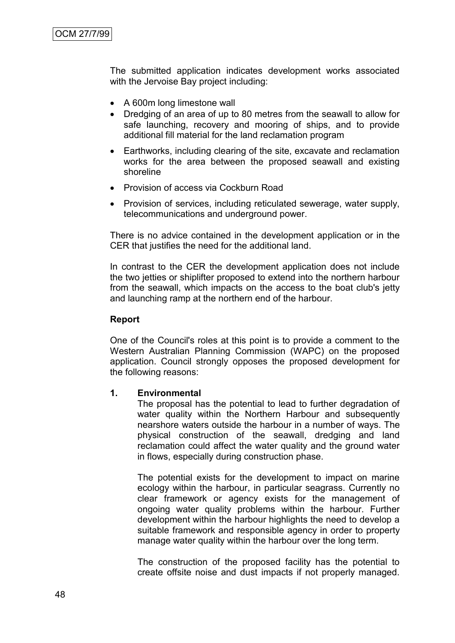The submitted application indicates development works associated with the Jervoise Bay project including:

- A 600m long limestone wall
- Dredging of an area of up to 80 metres from the seawall to allow for safe launching, recovery and mooring of ships, and to provide additional fill material for the land reclamation program
- Earthworks, including clearing of the site, excavate and reclamation works for the area between the proposed seawall and existing shoreline
- Provision of access via Cockburn Road
- Provision of services, including reticulated sewerage, water supply, telecommunications and underground power.

There is no advice contained in the development application or in the CER that justifies the need for the additional land.

In contrast to the CER the development application does not include the two jetties or shiplifter proposed to extend into the northern harbour from the seawall, which impacts on the access to the boat club's jetty and launching ramp at the northern end of the harbour.

#### **Report**

One of the Council's roles at this point is to provide a comment to the Western Australian Planning Commission (WAPC) on the proposed application. Council strongly opposes the proposed development for the following reasons:

#### **1. Environmental**

The proposal has the potential to lead to further degradation of water quality within the Northern Harbour and subsequently nearshore waters outside the harbour in a number of ways. The physical construction of the seawall, dredging and land reclamation could affect the water quality and the ground water in flows, especially during construction phase.

The potential exists for the development to impact on marine ecology within the harbour, in particular seagrass. Currently no clear framework or agency exists for the management of ongoing water quality problems within the harbour. Further development within the harbour highlights the need to develop a suitable framework and responsible agency in order to property manage water quality within the harbour over the long term.

The construction of the proposed facility has the potential to create offsite noise and dust impacts if not properly managed.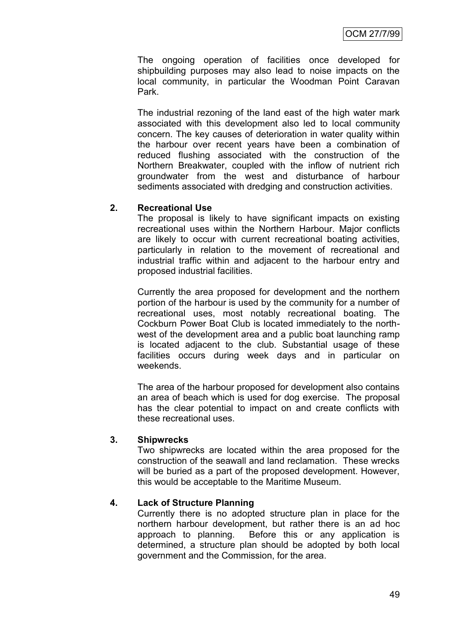The ongoing operation of facilities once developed for shipbuilding purposes may also lead to noise impacts on the local community, in particular the Woodman Point Caravan Park.

The industrial rezoning of the land east of the high water mark associated with this development also led to local community concern. The key causes of deterioration in water quality within the harbour over recent years have been a combination of reduced flushing associated with the construction of the Northern Breakwater, coupled with the inflow of nutrient rich groundwater from the west and disturbance of harbour sediments associated with dredging and construction activities.

### **2. Recreational Use**

The proposal is likely to have significant impacts on existing recreational uses within the Northern Harbour. Major conflicts are likely to occur with current recreational boating activities, particularly in relation to the movement of recreational and industrial traffic within and adjacent to the harbour entry and proposed industrial facilities.

Currently the area proposed for development and the northern portion of the harbour is used by the community for a number of recreational uses, most notably recreational boating. The Cockburn Power Boat Club is located immediately to the northwest of the development area and a public boat launching ramp is located adjacent to the club. Substantial usage of these facilities occurs during week days and in particular on weekends.

The area of the harbour proposed for development also contains an area of beach which is used for dog exercise. The proposal has the clear potential to impact on and create conflicts with these recreational uses.

### **3. Shipwrecks**

Two shipwrecks are located within the area proposed for the construction of the seawall and land reclamation. These wrecks will be buried as a part of the proposed development. However, this would be acceptable to the Maritime Museum.

# **4. Lack of Structure Planning**

Currently there is no adopted structure plan in place for the northern harbour development, but rather there is an ad hoc approach to planning. Before this or any application is determined, a structure plan should be adopted by both local government and the Commission, for the area.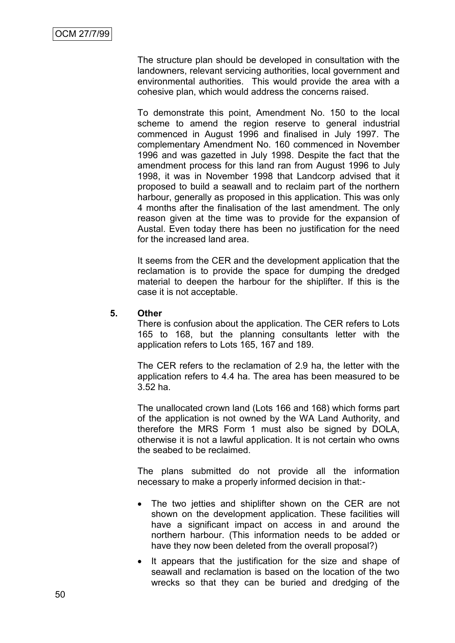The structure plan should be developed in consultation with the landowners, relevant servicing authorities, local government and environmental authorities. This would provide the area with a cohesive plan, which would address the concerns raised.

To demonstrate this point, Amendment No. 150 to the local scheme to amend the region reserve to general industrial commenced in August 1996 and finalised in July 1997. The complementary Amendment No. 160 commenced in November 1996 and was gazetted in July 1998. Despite the fact that the amendment process for this land ran from August 1996 to July 1998, it was in November 1998 that Landcorp advised that it proposed to build a seawall and to reclaim part of the northern harbour, generally as proposed in this application. This was only 4 months after the finalisation of the last amendment. The only reason given at the time was to provide for the expansion of Austal. Even today there has been no justification for the need for the increased land area.

It seems from the CER and the development application that the reclamation is to provide the space for dumping the dredged material to deepen the harbour for the shiplifter. If this is the case it is not acceptable.

#### **5. Other**

There is confusion about the application. The CER refers to Lots 165 to 168, but the planning consultants letter with the application refers to Lots 165, 167 and 189.

The CER refers to the reclamation of 2.9 ha, the letter with the application refers to 4.4 ha. The area has been measured to be 3.52 ha.

The unallocated crown land (Lots 166 and 168) which forms part of the application is not owned by the WA Land Authority, and therefore the MRS Form 1 must also be signed by DOLA, otherwise it is not a lawful application. It is not certain who owns the seabed to be reclaimed.

The plans submitted do not provide all the information necessary to make a properly informed decision in that:-

- The two jetties and shiplifter shown on the CER are not shown on the development application. These facilities will have a significant impact on access in and around the northern harbour. (This information needs to be added or have they now been deleted from the overall proposal?)
- It appears that the justification for the size and shape of seawall and reclamation is based on the location of the two wrecks so that they can be buried and dredging of the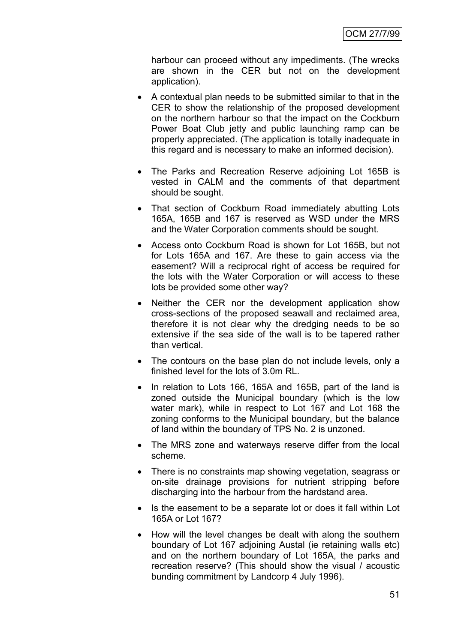harbour can proceed without any impediments. (The wrecks are shown in the CER but not on the development application).

- A contextual plan needs to be submitted similar to that in the CER to show the relationship of the proposed development on the northern harbour so that the impact on the Cockburn Power Boat Club jetty and public launching ramp can be properly appreciated. (The application is totally inadequate in this regard and is necessary to make an informed decision).
- The Parks and Recreation Reserve adjoining Lot 165B is vested in CALM and the comments of that department should be sought.
- That section of Cockburn Road immediately abutting Lots 165A, 165B and 167 is reserved as WSD under the MRS and the Water Corporation comments should be sought.
- Access onto Cockburn Road is shown for Lot 165B, but not for Lots 165A and 167. Are these to gain access via the easement? Will a reciprocal right of access be required for the lots with the Water Corporation or will access to these lots be provided some other way?
- Neither the CER nor the development application show cross-sections of the proposed seawall and reclaimed area, therefore it is not clear why the dredging needs to be so extensive if the sea side of the wall is to be tapered rather than vertical.
- The contours on the base plan do not include levels, only a finished level for the lots of 3.0m RL.
- In relation to Lots 166, 165A and 165B, part of the land is zoned outside the Municipal boundary (which is the low water mark), while in respect to Lot 167 and Lot 168 the zoning conforms to the Municipal boundary, but the balance of land within the boundary of TPS No. 2 is unzoned.
- The MRS zone and waterways reserve differ from the local scheme.
- There is no constraints map showing vegetation, seagrass or on-site drainage provisions for nutrient stripping before discharging into the harbour from the hardstand area.
- Is the easement to be a separate lot or does it fall within Lot 165A or Lot 167?
- How will the level changes be dealt with along the southern boundary of Lot 167 adjoining Austal (ie retaining walls etc) and on the northern boundary of Lot 165A, the parks and recreation reserve? (This should show the visual / acoustic bunding commitment by Landcorp 4 July 1996).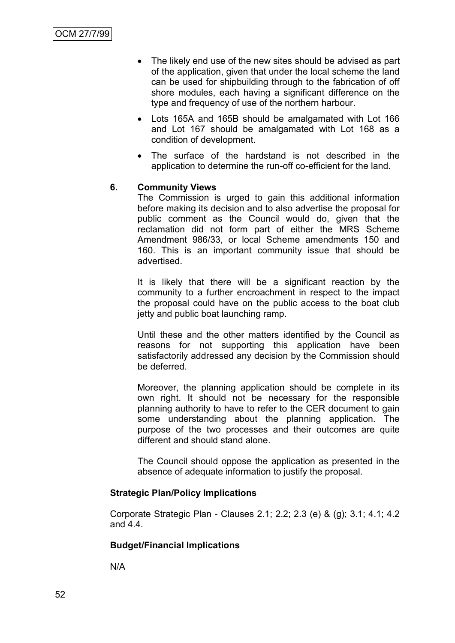- The likely end use of the new sites should be advised as part of the application, given that under the local scheme the land can be used for shipbuilding through to the fabrication of off shore modules, each having a significant difference on the type and frequency of use of the northern harbour.
- Lots 165A and 165B should be amalgamated with Lot 166 and Lot 167 should be amalgamated with Lot 168 as a condition of development.
- The surface of the hardstand is not described in the application to determine the run-off co-efficient for the land.

# **6. Community Views**

The Commission is urged to gain this additional information before making its decision and to also advertise the proposal for public comment as the Council would do, given that the reclamation did not form part of either the MRS Scheme Amendment 986/33, or local Scheme amendments 150 and 160. This is an important community issue that should be advertised.

It is likely that there will be a significant reaction by the community to a further encroachment in respect to the impact the proposal could have on the public access to the boat club jetty and public boat launching ramp.

Until these and the other matters identified by the Council as reasons for not supporting this application have been satisfactorily addressed any decision by the Commission should be deferred.

Moreover, the planning application should be complete in its own right. It should not be necessary for the responsible planning authority to have to refer to the CER document to gain some understanding about the planning application. The purpose of the two processes and their outcomes are quite different and should stand alone.

The Council should oppose the application as presented in the absence of adequate information to justify the proposal.

### **Strategic Plan/Policy Implications**

Corporate Strategic Plan - Clauses 2.1; 2.2; 2.3 (e) & (g); 3.1; 4.1; 4.2 and 4.4.

#### **Budget/Financial Implications**

N/A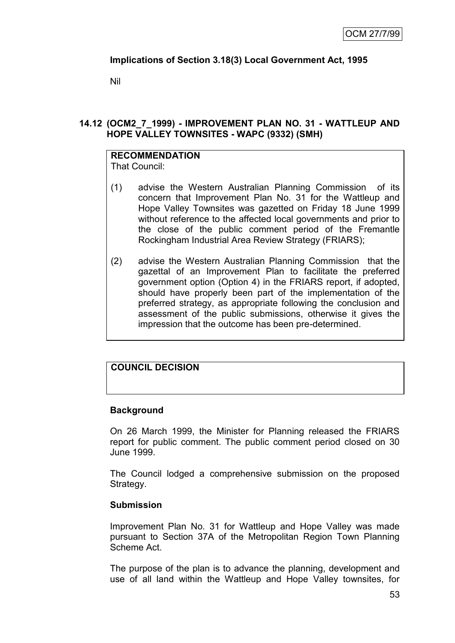## **Implications of Section 3.18(3) Local Government Act, 1995**

Nil

### **14.12 (OCM2\_7\_1999) - IMPROVEMENT PLAN NO. 31 - WATTLEUP AND HOPE VALLEY TOWNSITES - WAPC (9332) (SMH)**

# **RECOMMENDATION**

That Council:

- (1) advise the Western Australian Planning Commission of its concern that Improvement Plan No. 31 for the Wattleup and Hope Valley Townsites was gazetted on Friday 18 June 1999 without reference to the affected local governments and prior to the close of the public comment period of the Fremantle Rockingham Industrial Area Review Strategy (FRIARS);
- (2) advise the Western Australian Planning Commission that the gazettal of an Improvement Plan to facilitate the preferred government option (Option 4) in the FRIARS report, if adopted, should have properly been part of the implementation of the preferred strategy, as appropriate following the conclusion and assessment of the public submissions, otherwise it gives the impression that the outcome has been pre-determined.

# **COUNCIL DECISION**

### **Background**

On 26 March 1999, the Minister for Planning released the FRIARS report for public comment. The public comment period closed on 30 June 1999.

The Council lodged a comprehensive submission on the proposed Strategy.

### **Submission**

Improvement Plan No. 31 for Wattleup and Hope Valley was made pursuant to Section 37A of the Metropolitan Region Town Planning Scheme Act.

The purpose of the plan is to advance the planning, development and use of all land within the Wattleup and Hope Valley townsites, for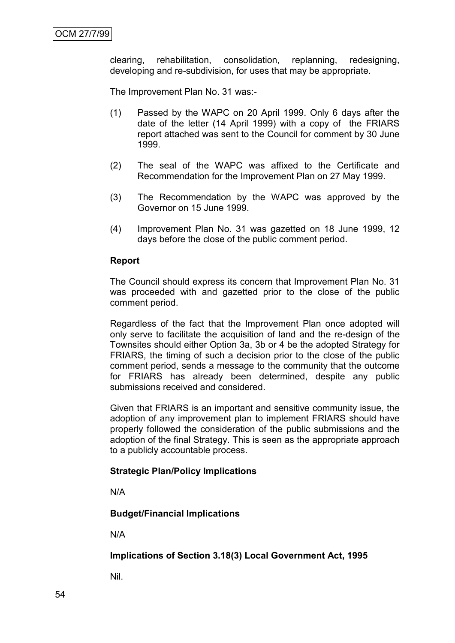clearing, rehabilitation, consolidation, replanning, redesigning, developing and re-subdivision, for uses that may be appropriate.

The Improvement Plan No. 31 was:-

- (1) Passed by the WAPC on 20 April 1999. Only 6 days after the date of the letter (14 April 1999) with a copy of the FRIARS report attached was sent to the Council for comment by 30 June 1999.
- (2) The seal of the WAPC was affixed to the Certificate and Recommendation for the Improvement Plan on 27 May 1999.
- (3) The Recommendation by the WAPC was approved by the Governor on 15 June 1999.
- (4) Improvement Plan No. 31 was gazetted on 18 June 1999, 12 days before the close of the public comment period.

#### **Report**

The Council should express its concern that Improvement Plan No. 31 was proceeded with and gazetted prior to the close of the public comment period.

Regardless of the fact that the Improvement Plan once adopted will only serve to facilitate the acquisition of land and the re-design of the Townsites should either Option 3a, 3b or 4 be the adopted Strategy for FRIARS, the timing of such a decision prior to the close of the public comment period, sends a message to the community that the outcome for FRIARS has already been determined, despite any public submissions received and considered.

Given that FRIARS is an important and sensitive community issue, the adoption of any improvement plan to implement FRIARS should have properly followed the consideration of the public submissions and the adoption of the final Strategy. This is seen as the appropriate approach to a publicly accountable process.

#### **Strategic Plan/Policy Implications**

N/A

### **Budget/Financial Implications**

N/A

### **Implications of Section 3.18(3) Local Government Act, 1995**

Nil.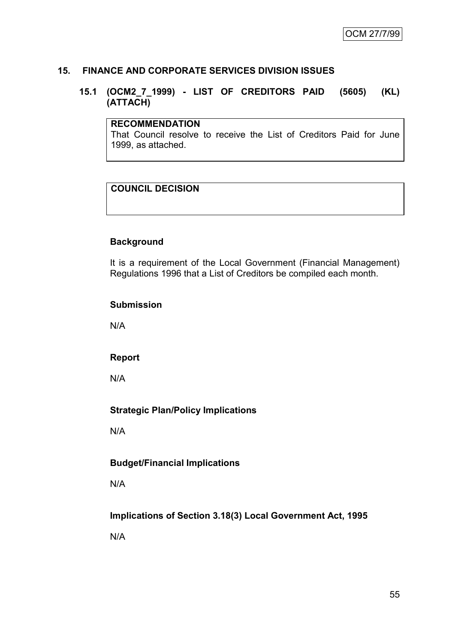### **15. FINANCE AND CORPORATE SERVICES DIVISION ISSUES**

### **15.1 (OCM2\_7\_1999) - LIST OF CREDITORS PAID (5605) (KL) (ATTACH)**

### **RECOMMENDATION**

That Council resolve to receive the List of Creditors Paid for June 1999, as attached.

# **COUNCIL DECISION**

### **Background**

It is a requirement of the Local Government (Financial Management) Regulations 1996 that a List of Creditors be compiled each month.

#### **Submission**

N/A

### **Report**

N/A

### **Strategic Plan/Policy Implications**

N/A

### **Budget/Financial Implications**

N/A

### **Implications of Section 3.18(3) Local Government Act, 1995**

N/A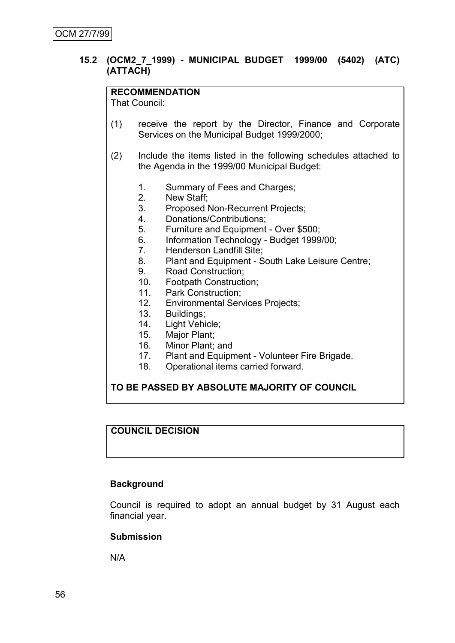### **15.2 (OCM2\_7\_1999) - MUNICIPAL BUDGET 1999/00 (5402) (ATC) (ATTACH)**

### **RECOMMENDATION**

That Council:

- (1) receive the report by the Director, Finance and Corporate Services on the Municipal Budget 1999/2000;
- (2) Include the items listed in the following schedules attached to the Agenda in the 1999/00 Municipal Budget:
	- 1. Summary of Fees and Charges;
	- 2. New Staff;
	- 3. Proposed Non-Recurrent Projects;
	- 4. Donations/Contributions;
	- 5. Furniture and Equipment Over \$500;
	- 6. Information Technology Budget 1999/00;
	-
	- 7. Henderson Landfill Site;<br>8. Plant and Equipment S Plant and Equipment - South Lake Leisure Centre;
	- 9. Road Construction;
	- 10. Footpath Construction;
	- 11. Park Construction;
	- 12. Environmental Services Projects;
	- 13. Buildings;
	- 14. Light Vehicle;
	- 15. Major Plant;
	- 16. Minor Plant; and<br>17. Plant and Equipr
	- Plant and Equipment Volunteer Fire Brigade.
	- 18. Operational items carried forward.

### **TO BE PASSED BY ABSOLUTE MAJORITY OF COUNCIL**

### **COUNCIL DECISION**

### **Background**

Council is required to adopt an annual budget by 31 August each financial year.

#### **Submission**

N/A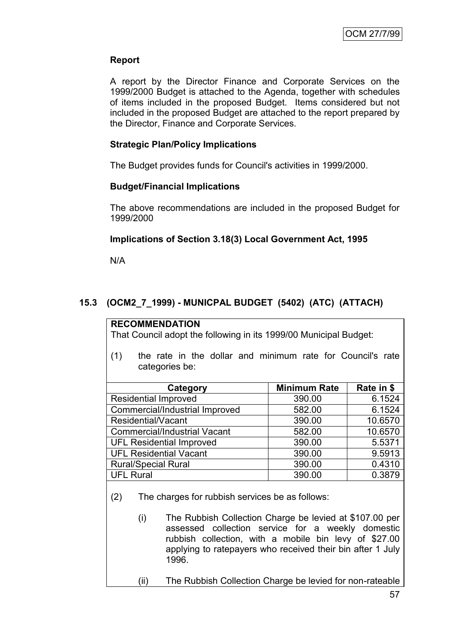# **Report**

A report by the Director Finance and Corporate Services on the 1999/2000 Budget is attached to the Agenda, together with schedules of items included in the proposed Budget. Items considered but not included in the proposed Budget are attached to the report prepared by the Director, Finance and Corporate Services.

# **Strategic Plan/Policy Implications**

The Budget provides funds for Council's activities in 1999/2000.

# **Budget/Financial Implications**

The above recommendations are included in the proposed Budget for 1999/2000

# **Implications of Section 3.18(3) Local Government Act, 1995**

N/A

# **15.3 (OCM2\_7\_1999) - MUNICPAL BUDGET (5402) (ATC) (ATTACH)**

### **RECOMMENDATION**

That Council adopt the following in its 1999/00 Municipal Budget:

(1) the rate in the dollar and minimum rate for Council's rate categories be:

| Category                            | <b>Minimum Rate</b> | Rate in \$ |
|-------------------------------------|---------------------|------------|
| <b>Residential Improved</b>         | 390.00              | 6.1524     |
| Commercial/Industrial Improved      | 582.00              | 6.1524     |
| Residential/Vacant                  | 390.00              | 10.6570    |
| <b>Commercial/Industrial Vacant</b> | 582.00              | 10.6570    |
| <b>UFL Residential Improved</b>     | 390.00              | 5.5371     |
| <b>UFL Residential Vacant</b>       | 390.00              | 9.5913     |
| <b>Rural/Special Rural</b>          | 390.00              | 0.4310     |
| <b>UFL Rural</b>                    | 390.00              | 0.3879     |

- (2) The charges for rubbish services be as follows:
	- (i) The Rubbish Collection Charge be levied at \$107.00 per assessed collection service for a weekly domestic rubbish collection, with a mobile bin levy of \$27.00 applying to ratepayers who received their bin after 1 July 1996.
	- (ii) The Rubbish Collection Charge be levied for non-rateable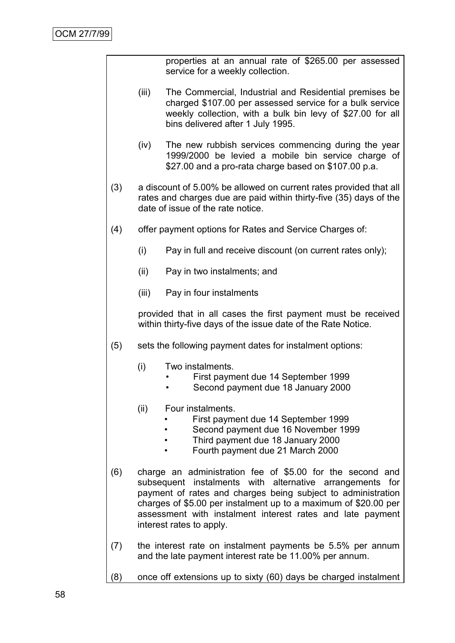properties at an annual rate of \$265.00 per assessed service for a weekly collection.

- (iii) The Commercial, Industrial and Residential premises be charged \$107.00 per assessed service for a bulk service weekly collection, with a bulk bin levy of \$27.00 for all bins delivered after 1 July 1995.
- (iv) The new rubbish services commencing during the year 1999/2000 be levied a mobile bin service charge of \$27.00 and a pro-rata charge based on \$107.00 p.a.
- (3) a discount of 5.00% be allowed on current rates provided that all rates and charges due are paid within thirty-five (35) days of the date of issue of the rate notice.
- (4) offer payment options for Rates and Service Charges of:
	- (i) Pay in full and receive discount (on current rates only);
	- (ii) Pay in two instalments; and
	- (iii) Pay in four instalments

provided that in all cases the first payment must be received within thirty-five days of the issue date of the Rate Notice.

- (5) sets the following payment dates for instalment options:
	- (i) Two instalments.
		- First payment due 14 September 1999
		- Second payment due 18 January 2000
	- (ii) Four instalments.
		- First payment due 14 September 1999
		- Second payment due 16 November 1999
		- Third payment due 18 January 2000
		- Fourth payment due 21 March 2000
- (6) charge an administration fee of \$5.00 for the second and subsequent instalments with alternative arrangements for payment of rates and charges being subject to administration charges of \$5.00 per instalment up to a maximum of \$20.00 per assessment with instalment interest rates and late payment interest rates to apply.
- (7) the interest rate on instalment payments be 5.5% per annum and the late payment interest rate be 11.00% per annum.
- (8) once off extensions up to sixty (60) days be charged instalment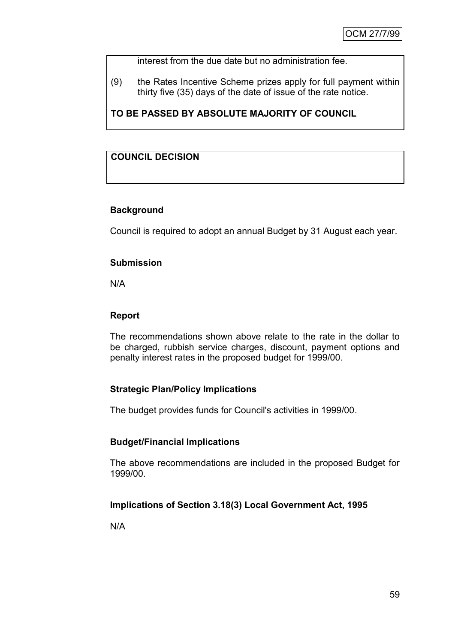interest from the due date but no administration fee.

(9) the Rates Incentive Scheme prizes apply for full payment within thirty five (35) days of the date of issue of the rate notice.

**TO BE PASSED BY ABSOLUTE MAJORITY OF COUNCIL**

# **COUNCIL DECISION**

# **Background**

Council is required to adopt an annual Budget by 31 August each year.

### **Submission**

N/A

### **Report**

The recommendations shown above relate to the rate in the dollar to be charged, rubbish service charges, discount, payment options and penalty interest rates in the proposed budget for 1999/00.

# **Strategic Plan/Policy Implications**

The budget provides funds for Council's activities in 1999/00.

# **Budget/Financial Implications**

The above recommendations are included in the proposed Budget for 1999/00.

# **Implications of Section 3.18(3) Local Government Act, 1995**

N/A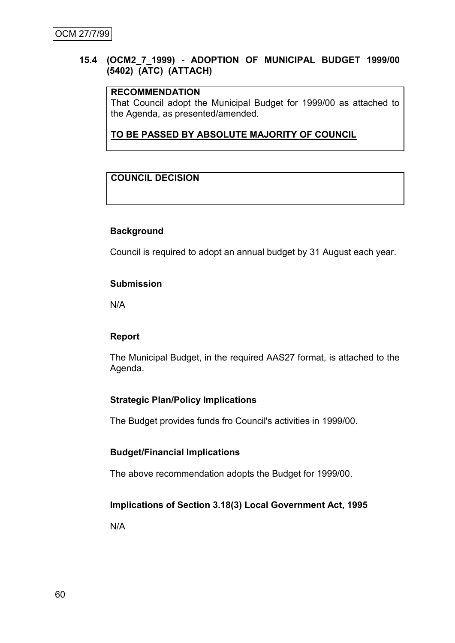### **15.4 (OCM2\_7\_1999) - ADOPTION OF MUNICIPAL BUDGET 1999/00 (5402) (ATC) (ATTACH)**

### **RECOMMENDATION**

That Council adopt the Municipal Budget for 1999/00 as attached to the Agenda, as presented/amended.

## **TO BE PASSED BY ABSOLUTE MAJORITY OF COUNCIL**

# **COUNCIL DECISION**

### **Background**

Council is required to adopt an annual budget by 31 August each year.

### **Submission**

N/A

### **Report**

The Municipal Budget, in the required AAS27 format, is attached to the Agenda.

### **Strategic Plan/Policy Implications**

The Budget provides funds fro Council's activities in 1999/00.

### **Budget/Financial Implications**

The above recommendation adopts the Budget for 1999/00.

### **Implications of Section 3.18(3) Local Government Act, 1995**

N/A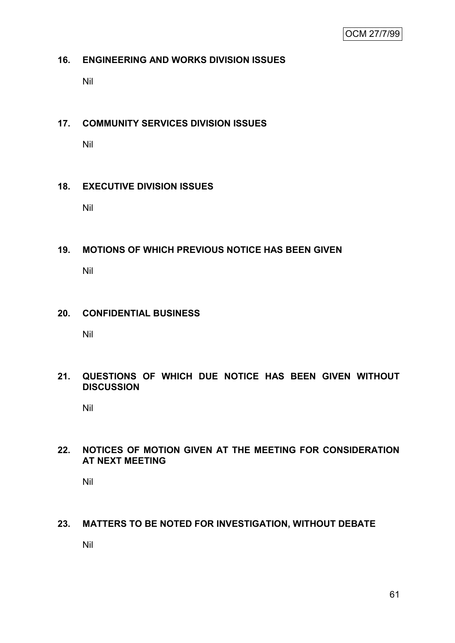### **16. ENGINEERING AND WORKS DIVISION ISSUES**

Nil

### **17. COMMUNITY SERVICES DIVISION ISSUES**

Nil

### **18. EXECUTIVE DIVISION ISSUES**

Nil

#### **19. MOTIONS OF WHICH PREVIOUS NOTICE HAS BEEN GIVEN**

Nil

### **20. CONFIDENTIAL BUSINESS**

Nil

### **21. QUESTIONS OF WHICH DUE NOTICE HAS BEEN GIVEN WITHOUT DISCUSSION**

Nil

### **22. NOTICES OF MOTION GIVEN AT THE MEETING FOR CONSIDERATION AT NEXT MEETING**

Nil

### **23. MATTERS TO BE NOTED FOR INVESTIGATION, WITHOUT DEBATE**

Nil